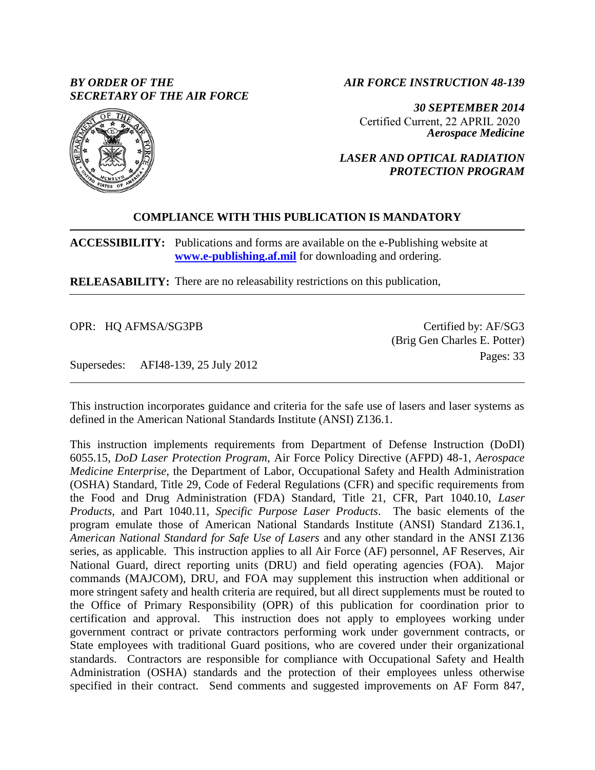# *BY ORDER OF THE SECRETARY OF THE AIR FORCE*

*AIR FORCE INSTRUCTION 48-139*

*30 SEPTEMBER 2014 Aerospace Medicine* Certified Current, 22 APRIL 2020

*LASER AND OPTICAL RADIATION PROTECTION PROGRAM*

# **COMPLIANCE WITH THIS PUBLICATION IS MANDATORY**

**ACCESSIBILITY:** Publications and forms are available on the e-Publishing website at **[www.e-publishing.af.mil](http://www.e-publishing.af.mil/)** for downloading and ordering.

**RELEASABILITY:** There are no releasability restrictions on this publication,

OPR: HQ AFMSA/SG3PB

Certified by: AF/SG3 (Brig Gen Charles E. Potter) Pages: 33

Supersedes: AFI48-139, 25 July 2012

This instruction incorporates guidance and criteria for the safe use of lasers and laser systems as defined in the American National Standards Institute (ANSI) Z136.1.

This instruction implements requirements from Department of Defense Instruction (DoDI) 6055.15, *DoD Laser Protection Program*, Air Force Policy Directive (AFPD) 48-1, *Aerospace Medicine Enterprise*, the Department of Labor, Occupational Safety and Health Administration (OSHA) Standard, Title 29, Code of Federal Regulations (CFR) and specific requirements from the Food and Drug Administration (FDA) Standard, Title 21, CFR, Part 1040.10, *Laser Products,* and Part 1040.11, *Specific Purpose Laser Products*. The basic elements of the program emulate those of American National Standards Institute (ANSI) Standard Z136.1, *American National Standard for Safe Use of Lasers* and any other standard in the ANSI Z136 series, as applicable. This instruction applies to all Air Force (AF) personnel, AF Reserves, Air National Guard, direct reporting units (DRU) and field operating agencies (FOA). Major commands (MAJCOM), DRU, and FOA may supplement this instruction when additional or more stringent safety and health criteria are required, but all direct supplements must be routed to the Office of Primary Responsibility (OPR) of this publication for coordination prior to certification and approval. This instruction does not apply to employees working under government contract or private contractors performing work under government contracts, or State employees with traditional Guard positions, who are covered under their organizational standards. Contractors are responsible for compliance with Occupational Safety and Health Administration (OSHA) standards and the protection of their employees unless otherwise specified in their contract. Send comments and suggested improvements on AF Form 847,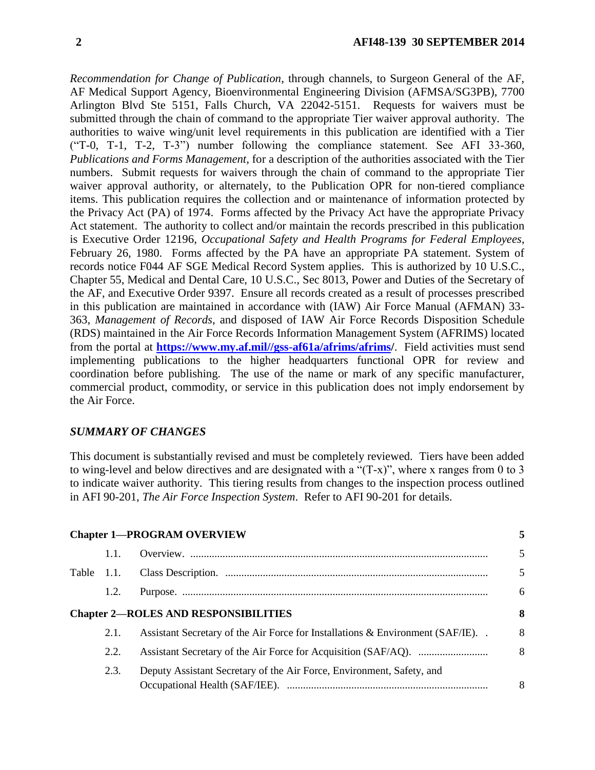*Recommendation for Change of Publication*, through channels, to Surgeon General of the AF, AF Medical Support Agency, Bioenvironmental Engineering Division (AFMSA/SG3PB), 7700 Arlington Blvd Ste 5151, Falls Church, VA 22042-5151. Requests for waivers must be submitted through the chain of command to the appropriate Tier waiver approval authority. The authorities to waive wing/unit level requirements in this publication are identified with a Tier ("T-0, T-1, T-2, T-3") number following the compliance statement. See AFI 33-360, *Publications and Forms Management*, for a description of the authorities associated with the Tier numbers. Submit requests for waivers through the chain of command to the appropriate Tier waiver approval authority, or alternately, to the Publication OPR for non-tiered compliance items. This publication requires the collection and or maintenance of information protected by the Privacy Act (PA) of 1974. Forms affected by the Privacy Act have the appropriate Privacy Act statement. The authority to collect and/or maintain the records prescribed in this publication is Executive Order 12196, *Occupational Safety and Health Programs for Federal Employees*, February 26, 1980. Forms affected by the PA have an appropriate PA statement. System of records notice F044 AF SGE Medical Record System applies. This is authorized by 10 U.S.C., Chapter 55, Medical and Dental Care, 10 U.S.C., Sec 8013, Power and Duties of the Secretary of the AF, and Executive Order 9397. Ensure all records created as a result of processes prescribed in this publication are maintained in accordance with (IAW) Air Force Manual (AFMAN) 33- 363, *Management of Records*, and disposed of IAW Air Force Records Disposition Schedule (RDS) maintained in the Air Force Records Information Management System (AFRIMS) located from the portal at **[https://www.my.af.mil//gss-af61a/afrims/afrims/](https://www.my.af.mil/gss-af61a/afrims/afrims)**. Field activities must send implementing publications to the higher headquarters functional OPR for review and coordination before publishing. The use of the name or mark of any specific manufacturer, commercial product, commodity, or service in this publication does not imply endorsement by the Air Force.

### *SUMMARY OF CHANGES*

This document is substantially revised and must be completely reviewed. Tiers have been added to wing-level and below directives and are designated with a "(T-x)", where x ranges from 0 to 3 to indicate waiver authority. This tiering results from changes to the inspection process outlined in AFI 90-201, *The Air Force Inspection System*. Refer to AFI 90-201 for details.

| 1.1.          |                                                                                     | 5                                                                                |
|---------------|-------------------------------------------------------------------------------------|----------------------------------------------------------------------------------|
| Table $1.1$ . |                                                                                     | 5                                                                                |
| 1.2.          |                                                                                     | 6                                                                                |
|               |                                                                                     | 8                                                                                |
| 2.1.          | Assistant Secretary of the Air Force for Installations $\&$ Environment (SAF/IE). . | 8                                                                                |
| 2.2.          |                                                                                     | 8                                                                                |
| 2.3.          | Deputy Assistant Secretary of the Air Force, Environment, Safety, and               | 8                                                                                |
|               |                                                                                     | <b>Chapter 1-PROGRAM OVERVIEW</b><br><b>Chapter 2-ROLES AND RESPONSIBILITIES</b> |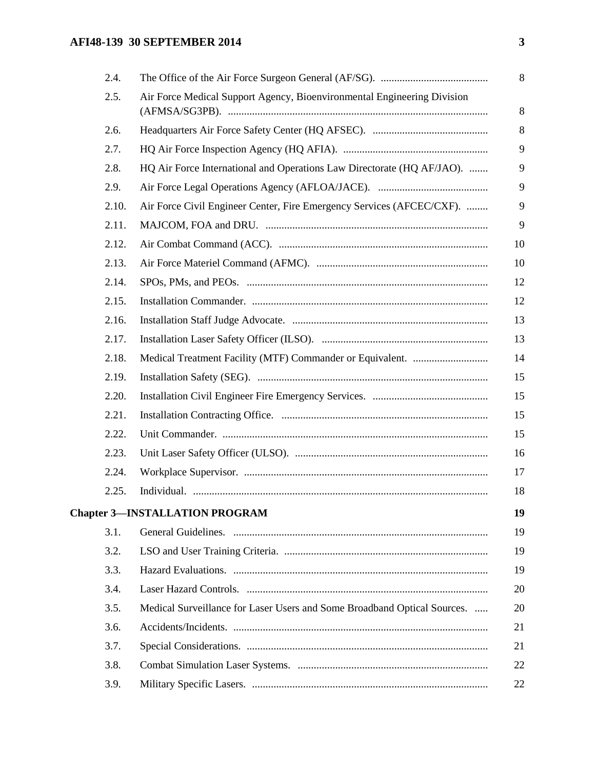# **AFI48-139 30 SEPTEMBER 2014** 3

| 2.4.  |                                                                          |
|-------|--------------------------------------------------------------------------|
| 2.5.  | Air Force Medical Support Agency, Bioenvironmental Engineering Division  |
| 2.6.  |                                                                          |
| 2.7.  |                                                                          |
| 2.8.  | HQ Air Force International and Operations Law Directorate (HQ AF/JAO).   |
| 2.9.  |                                                                          |
| 2.10. | Air Force Civil Engineer Center, Fire Emergency Services (AFCEC/CXF).    |
| 2.11. |                                                                          |
| 2.12. |                                                                          |
| 2.13. |                                                                          |
| 2.14. |                                                                          |
| 2.15. |                                                                          |
| 2.16. |                                                                          |
| 2.17. |                                                                          |
| 2.18. |                                                                          |
| 2.19. |                                                                          |
| 2.20. |                                                                          |
| 2.21. |                                                                          |
| 2.22. |                                                                          |
| 2.23. |                                                                          |
| 2.24. |                                                                          |
| 2.25. |                                                                          |
|       | <b>Chapter 3-INSTALLATION PROGRAM</b>                                    |
| 3.1.  |                                                                          |
| 3.2.  |                                                                          |
| 3.3.  |                                                                          |
| 3.4.  |                                                                          |
| 3.5.  | Medical Surveillance for Laser Users and Some Broadband Optical Sources. |
| 3.6.  |                                                                          |
| 3.7.  |                                                                          |
| 3.8.  |                                                                          |
| 3.9.  |                                                                          |
|       |                                                                          |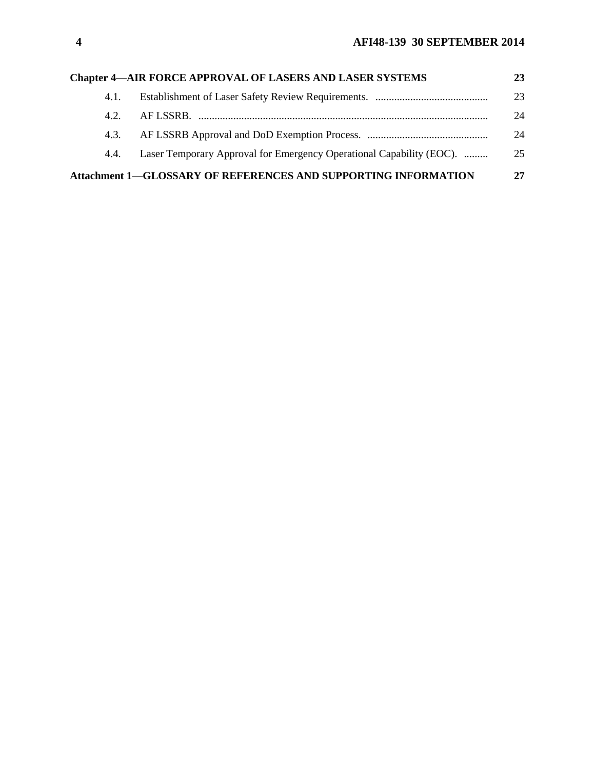|      | <b>Chapter 4-AIR FORCE APPROVAL OF LASERS AND LASER SYSTEMS</b>      | 23 |
|------|----------------------------------------------------------------------|----|
| 4.1. |                                                                      | 23 |
| 42   |                                                                      | 24 |
| 4.3. |                                                                      | 24 |
| 4.4. | Laser Temporary Approval for Emergency Operational Capability (EOC). | 25 |
|      | Attachment 1-GLOSSARY OF REFERENCES AND SUPPORTING INFORMATION       | 27 |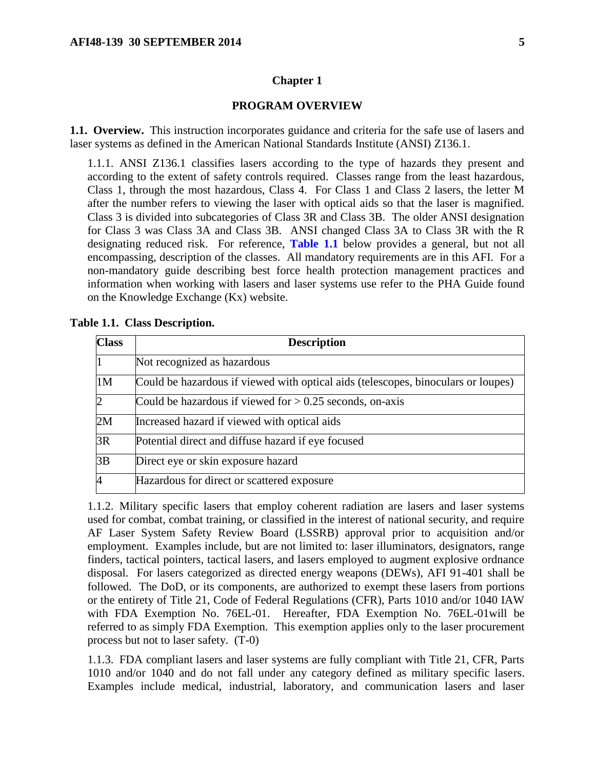#### **Chapter 1**

#### **PROGRAM OVERVIEW**

<span id="page-4-1"></span><span id="page-4-0"></span>**1.1. Overview.** This instruction incorporates guidance and criteria for the safe use of lasers and laser systems as defined in the American National Standards Institute (ANSI) Z136.1.

1.1.1. ANSI Z136.1 classifies lasers according to the type of hazards they present and according to the extent of safety controls required. Classes range from the least hazardous, Class 1, through the most hazardous, Class 4. For Class 1 and Class 2 lasers, the letter M after the number refers to viewing the laser with optical aids so that the laser is magnified. Class 3 is divided into subcategories of Class 3R and Class 3B. The older ANSI designation for Class 3 was Class 3A and Class 3B. ANSI changed Class 3A to Class 3R with the R designating reduced risk. For reference, **[Table 1.1](#page-4-2)** below provides a general, but not all encompassing, description of the classes. All mandatory requirements are in this AFI. For a non-mandatory guide describing best force health protection management practices and information when working with lasers and laser systems use refer to the PHA Guide found on the Knowledge Exchange (Kx) website.

| <b>Class</b>   | <b>Description</b>                                                                |
|----------------|-----------------------------------------------------------------------------------|
|                | Not recognized as hazardous                                                       |
| 1 <sub>M</sub> | Could be hazardous if viewed with optical aids (telescopes, binoculars or loupes) |
| $\overline{2}$ | Could be hazardous if viewed for $> 0.25$ seconds, on-axis                        |
| 2M             | Increased hazard if viewed with optical aids                                      |
| 3R             | Potential direct and diffuse hazard if eye focused                                |
| 3B             | Direct eye or skin exposure hazard                                                |
| $\overline{A}$ | Hazardous for direct or scattered exposure                                        |

<span id="page-4-2"></span>**Table 1.1. Class Description.**

<span id="page-4-3"></span>1.1.2. Military specific lasers that employ coherent radiation are lasers and laser systems used for combat, combat training, or classified in the interest of national security, and require AF Laser System Safety Review Board (LSSRB) approval prior to acquisition and/or employment. Examples include, but are not limited to: laser illuminators, designators, range finders, tactical pointers, tactical lasers, and lasers employed to augment explosive ordnance disposal. For lasers categorized as directed energy weapons (DEWs), AFI 91-401 shall be followed. The DoD, or its components, are authorized to exempt these lasers from portions or the entirety of Title 21, Code of Federal Regulations (CFR), Parts 1010 and/or 1040 IAW with FDA Exemption No. 76EL-01. Hereafter, FDA Exemption No. 76EL-01will be referred to as simply FDA Exemption. This exemption applies only to the laser procurement process but not to laser safety. (T-0)

1.1.3. FDA compliant lasers and laser systems are fully compliant with Title 21, CFR, Parts 1010 and/or 1040 and do not fall under any category defined as military specific lasers. Examples include medical, industrial, laboratory, and communication lasers and laser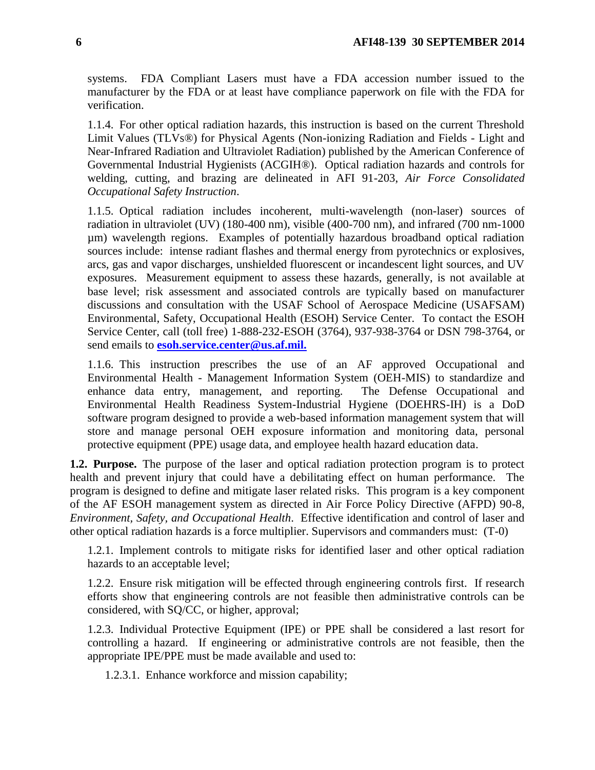systems. FDA Compliant Lasers must have a FDA accession number issued to the manufacturer by the FDA or at least have compliance paperwork on file with the FDA for verification.

1.1.4. For other optical radiation hazards, this instruction is based on the current Threshold Limit Values (TLVs®) for Physical Agents (Non-ionizing Radiation and Fields - Light and Near-Infrared Radiation and Ultraviolet Radiation) published by the American Conference of Governmental Industrial Hygienists (ACGIH®). Optical radiation hazards and controls for welding, cutting, and brazing are delineated in AFI 91-203, *Air Force Consolidated Occupational Safety Instruction*.

1.1.5. Optical radiation includes incoherent, multi-wavelength (non-laser) sources of radiation in ultraviolet (UV) (180-400 nm), visible (400-700 nm), and infrared (700 nm-1000 µm) wavelength regions. Examples of potentially hazardous broadband optical radiation sources include: intense radiant flashes and thermal energy from pyrotechnics or explosives, arcs, gas and vapor discharges, unshielded fluorescent or incandescent light sources, and UV exposures. Measurement equipment to assess these hazards, generally, is not available at base level; risk assessment and associated controls are typically based on manufacturer discussions and consultation with the USAF School of Aerospace Medicine (USAFSAM) Environmental, Safety, Occupational Health (ESOH) Service Center. To contact the ESOH Service Center, call (toll free) 1-888-232-ESOH (3764), 937-938-3764 or DSN 798-3764, or send emails to **[esoh.service.center@us.af.mil.](mailto:esoh.service.center@us.af.mil.)** 

1.1.6. This instruction prescribes the use of an AF approved Occupational and Environmental Health - Management Information System (OEH-MIS) to standardize and enhance data entry, management, and reporting. The Defense Occupational and Environmental Health Readiness System-Industrial Hygiene (DOEHRS-IH) is a DoD software program designed to provide a web-based information management system that will store and manage personal OEH exposure information and monitoring data, personal protective equipment (PPE) usage data, and employee health hazard education data.

<span id="page-5-0"></span>**1.2. Purpose.** The purpose of the laser and optical radiation protection program is to protect health and prevent injury that could have a debilitating effect on human performance. The program is designed to define and mitigate laser related risks. This program is a key component of the AF ESOH management system as directed in Air Force Policy Directive (AFPD) 90-8, *Environment, Safety, and Occupational Health*. Effective identification and control of laser and other optical radiation hazards is a force multiplier. Supervisors and commanders must: (T-0)

1.2.1. Implement controls to mitigate risks for identified laser and other optical radiation hazards to an acceptable level;

1.2.2. Ensure risk mitigation will be effected through engineering controls first. If research efforts show that engineering controls are not feasible then administrative controls can be considered, with SQ/CC, or higher, approval;

1.2.3. Individual Protective Equipment (IPE) or PPE shall be considered a last resort for controlling a hazard. If engineering or administrative controls are not feasible, then the appropriate IPE/PPE must be made available and used to:

1.2.3.1. Enhance workforce and mission capability;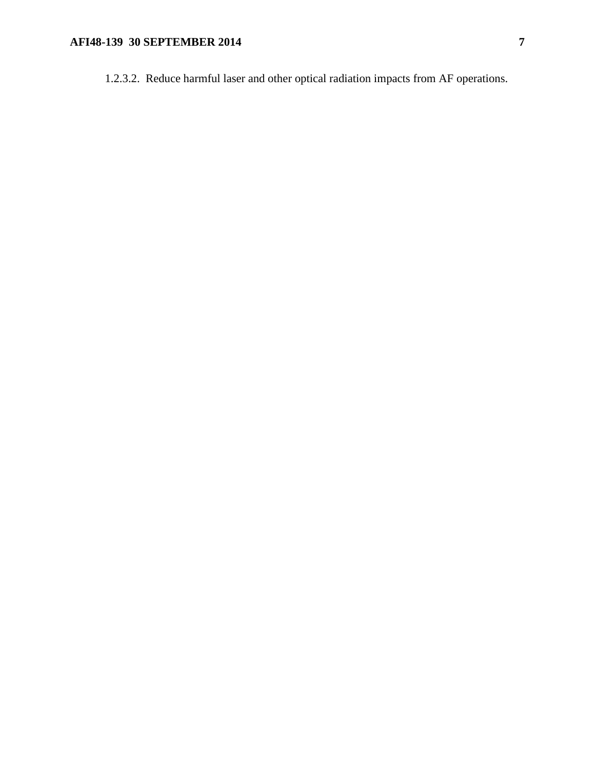# **AFI48-139 30 SEPTEMBER 2014** 7

1.2.3.2. Reduce harmful laser and other optical radiation impacts from AF operations.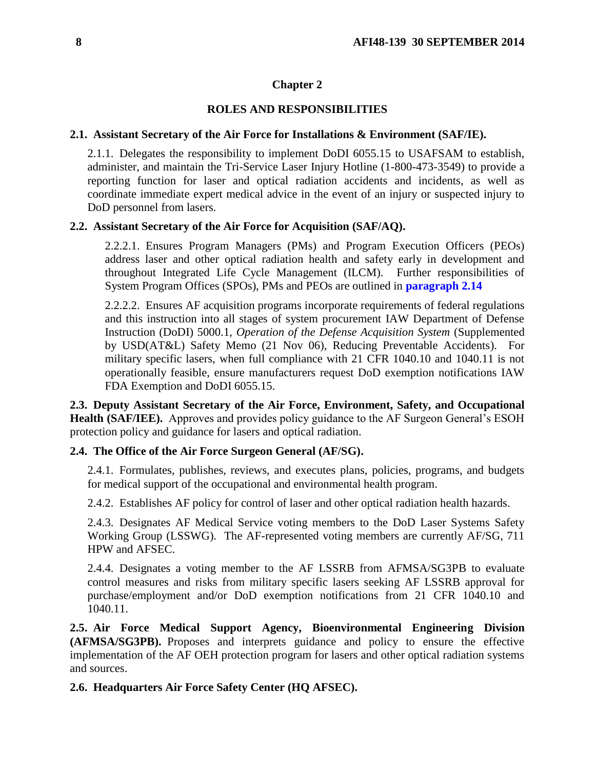### **Chapter 2**

# **ROLES AND RESPONSIBILITIES**

### <span id="page-7-1"></span><span id="page-7-0"></span>**2.1. Assistant Secretary of the Air Force for Installations & Environment (SAF/IE).**

2.1.1. Delegates the responsibility to implement DoDI 6055.15 to USAFSAM to establish, administer, and maintain the Tri-Service Laser Injury Hotline (1-800-473-3549) to provide a reporting function for laser and optical radiation accidents and incidents, as well as coordinate immediate expert medical advice in the event of an injury or suspected injury to DoD personnel from lasers*.*

### <span id="page-7-2"></span>**2.2. Assistant Secretary of the Air Force for Acquisition (SAF/AQ).**

2.2.2.1. Ensures Program Managers (PMs) and Program Execution Officers (PEOs) address laser and other optical radiation health and safety early in development and throughout Integrated Life Cycle Management (ILCM). Further responsibilities of System Program Offices (SPOs), PMs and PEOs are outlined in **[paragraph 2.14](#page-11-0)**

2.2.2.2. Ensures AF acquisition programs incorporate requirements of federal regulations and this instruction into all stages of system procurement IAW Department of Defense Instruction (DoDI) 5000.1, *Operation of the Defense Acquisition System* (Supplemented by USD(AT&L) Safety Memo (21 Nov 06), Reducing Preventable Accidents). For military specific lasers, when full compliance with 21 CFR 1040.10 and 1040.11 is not operationally feasible, ensure manufacturers request DoD exemption notifications IAW FDA Exemption and DoDI 6055.15.

<span id="page-7-3"></span>**2.3. Deputy Assistant Secretary of the Air Force, Environment, Safety, and Occupational Health (SAF/IEE).** Approves and provides policy guidance to the AF Surgeon General's ESOH protection policy and guidance for lasers and optical radiation.

### <span id="page-7-4"></span>**2.4. The Office of the Air Force Surgeon General (AF/SG).**

2.4.1. Formulates, publishes, reviews, and executes plans, policies, programs, and budgets for medical support of the occupational and environmental health program.

2.4.2. Establishes AF policy for control of laser and other optical radiation health hazards.

2.4.3. Designates AF Medical Service voting members to the DoD Laser Systems Safety Working Group (LSSWG). The AF-represented voting members are currently AF/SG, 711 HPW and AFSEC.

2.4.4. Designates a voting member to the AF LSSRB from AFMSA/SG3PB to evaluate control measures and risks from military specific lasers seeking AF LSSRB approval for purchase/employment and/or DoD exemption notifications from 21 CFR 1040.10 and 1040.11.

<span id="page-7-5"></span>**2.5. Air Force Medical Support Agency, Bioenvironmental Engineering Division (AFMSA/SG3PB).** Proposes and interprets guidance and policy to ensure the effective implementation of the AF OEH protection program for lasers and other optical radiation systems and sources.

### <span id="page-7-6"></span>**2.6. Headquarters Air Force Safety Center (HQ AFSEC).**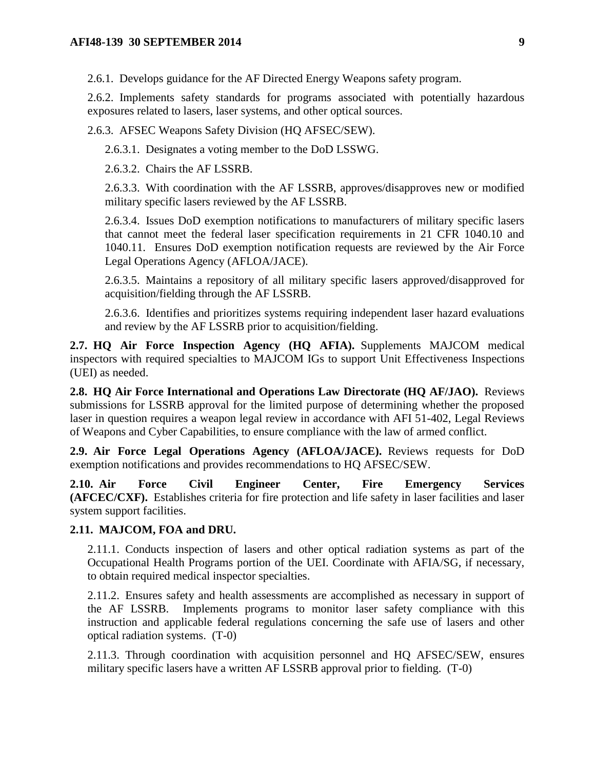2.6.1. Develops guidance for the AF Directed Energy Weapons safety program.

2.6.2. Implements safety standards for programs associated with potentially hazardous exposures related to lasers, laser systems, and other optical sources.

2.6.3. AFSEC Weapons Safety Division (HQ AFSEC/SEW).

2.6.3.1. Designates a voting member to the DoD LSSWG.

2.6.3.2. Chairs the AF LSSRB.

2.6.3.3. With coordination with the AF LSSRB, approves/disapproves new or modified military specific lasers reviewed by the AF LSSRB.

2.6.3.4. Issues DoD exemption notifications to manufacturers of military specific lasers that cannot meet the federal laser specification requirements in 21 CFR 1040.10 and 1040.11. Ensures DoD exemption notification requests are reviewed by the Air Force Legal Operations Agency (AFLOA/JACE).

2.6.3.5. Maintains a repository of all military specific lasers approved/disapproved for acquisition/fielding through the AF LSSRB.

2.6.3.6. Identifies and prioritizes systems requiring independent laser hazard evaluations and review by the AF LSSRB prior to acquisition/fielding.

<span id="page-8-0"></span>**2.7. HQ Air Force Inspection Agency (HQ AFIA).** Supplements MAJCOM medical inspectors with required specialties to MAJCOM IGs to support Unit Effectiveness Inspections (UEI) as needed.

<span id="page-8-1"></span>**2.8. HQ Air Force International and Operations Law Directorate (HQ AF/JAO).** Reviews submissions for LSSRB approval for the limited purpose of determining whether the proposed laser in question requires a weapon legal review in accordance with AFI 51-402, Legal Reviews of Weapons and Cyber Capabilities, to ensure compliance with the law of armed conflict.

<span id="page-8-2"></span>**2.9. Air Force Legal Operations Agency (AFLOA/JACE).** Reviews requests for DoD exemption notifications and provides recommendations to HQ AFSEC/SEW.

<span id="page-8-3"></span>**2.10. Air Force Civil Engineer Center, Fire Emergency Services (AFCEC/CXF).** Establishes criteria for fire protection and life safety in laser facilities and laser system support facilities.

### <span id="page-8-4"></span>**2.11. MAJCOM, FOA and DRU.**

2.11.1. Conducts inspection of lasers and other optical radiation systems as part of the Occupational Health Programs portion of the UEI. Coordinate with AFIA/SG, if necessary, to obtain required medical inspector specialties.

2.11.2. Ensures safety and health assessments are accomplished as necessary in support of the AF LSSRB. Implements programs to monitor laser safety compliance with this instruction and applicable federal regulations concerning the safe use of lasers and other optical radiation systems. (T-0)

2.11.3. Through coordination with acquisition personnel and HQ AFSEC/SEW, ensures military specific lasers have a written AF LSSRB approval prior to fielding. (T-0)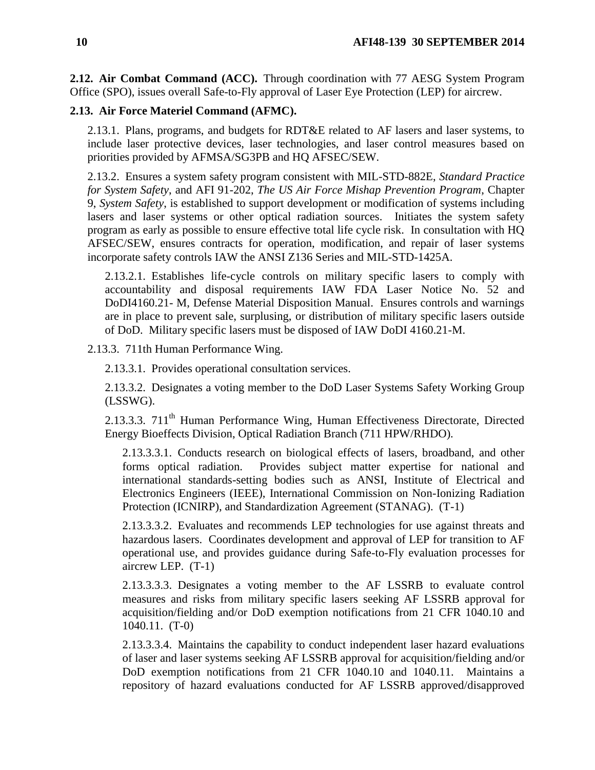<span id="page-9-0"></span>**2.12. Air Combat Command (ACC).** Through coordination with 77 AESG System Program Office (SPO), issues overall Safe-to-Fly approval of Laser Eye Protection (LEP) for aircrew.

### <span id="page-9-1"></span>**2.13. Air Force Materiel Command (AFMC).**

2.13.1. Plans, programs, and budgets for RDT&E related to AF lasers and laser systems, to include laser protective devices, laser technologies, and laser control measures based on priorities provided by AFMSA/SG3PB and HQ AFSEC/SEW.

2.13.2. Ensures a system safety program consistent with MIL-STD-882E, *Standard Practice for System Safety*, and AFI 91-202, *The US Air Force Mishap Prevention Program*, Chapter 9, *System Safety*, is established to support development or modification of systems including lasers and laser systems or other optical radiation sources. Initiates the system safety program as early as possible to ensure effective total life cycle risk. In consultation with HQ AFSEC/SEW, ensures contracts for operation, modification, and repair of laser systems incorporate safety controls IAW the ANSI Z136 Series and MIL-STD-1425A.

2.13.2.1. Establishes life-cycle controls on military specific lasers to comply with accountability and disposal requirements IAW FDA Laser Notice No. 52 and DoDI4160.21- M, Defense Material Disposition Manual. Ensures controls and warnings are in place to prevent sale, surplusing, or distribution of military specific lasers outside of DoD. Military specific lasers must be disposed of IAW DoDI 4160.21-M.

2.13.3. 711th Human Performance Wing.

2.13.3.1. Provides operational consultation services.

2.13.3.2. Designates a voting member to the DoD Laser Systems Safety Working Group (LSSWG).

2.13.3.3. 711<sup>th</sup> Human Performance Wing, Human Effectiveness Directorate, Directed Energy Bioeffects Division, Optical Radiation Branch (711 HPW/RHDO).

2.13.3.3.1. Conducts research on biological effects of lasers, broadband, and other forms optical radiation. Provides subject matter expertise for national and international standards-setting bodies such as ANSI, Institute of Electrical and Electronics Engineers (IEEE), International Commission on Non-Ionizing Radiation Protection (ICNIRP), and Standardization Agreement (STANAG). (T-1)

2.13.3.3.2. Evaluates and recommends LEP technologies for use against threats and hazardous lasers. Coordinates development and approval of LEP for transition to AF operational use, and provides guidance during Safe-to-Fly evaluation processes for aircrew LEP. (T-1)

2.13.3.3.3. Designates a voting member to the AF LSSRB to evaluate control measures and risks from military specific lasers seeking AF LSSRB approval for acquisition/fielding and/or DoD exemption notifications from 21 CFR 1040.10 and 1040.11. (T-0)

2.13.3.3.4. Maintains the capability to conduct independent laser hazard evaluations of laser and laser systems seeking AF LSSRB approval for acquisition/fielding and/or DoD exemption notifications from 21 CFR 1040.10 and 1040.11. Maintains a repository of hazard evaluations conducted for AF LSSRB approved/disapproved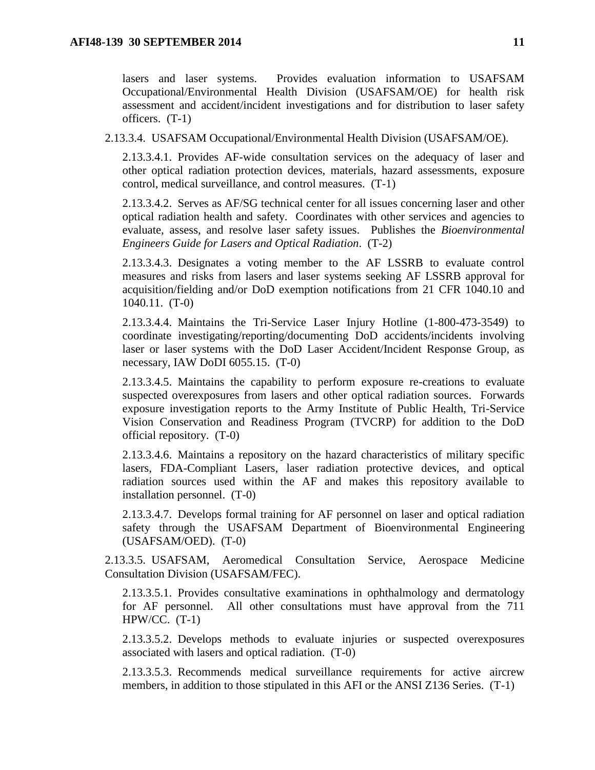lasers and laser systems. Provides evaluation information to USAFSAM Occupational/Environmental Health Division (USAFSAM/OE) for health risk assessment and accident/incident investigations and for distribution to laser safety officers. (T-1)

2.13.3.4. USAFSAM Occupational/Environmental Health Division (USAFSAM/OE).

2.13.3.4.1. Provides AF-wide consultation services on the adequacy of laser and other optical radiation protection devices, materials, hazard assessments, exposure control, medical surveillance, and control measures. (T-1)

2.13.3.4.2. Serves as AF/SG technical center for all issues concerning laser and other optical radiation health and safety. Coordinates with other services and agencies to evaluate, assess, and resolve laser safety issues. Publishes the *Bioenvironmental Engineers Guide for Lasers and Optical Radiation*. (T-2)

2.13.3.4.3. Designates a voting member to the AF LSSRB to evaluate control measures and risks from lasers and laser systems seeking AF LSSRB approval for acquisition/fielding and/or DoD exemption notifications from 21 CFR 1040.10 and 1040.11. (T-0)

2.13.3.4.4. Maintains the Tri-Service Laser Injury Hotline (1-800-473-3549) to coordinate investigating/reporting/documenting DoD accidents/incidents involving laser or laser systems with the DoD Laser Accident/Incident Response Group, as necessary, IAW DoDI 6055.15. (T-0)

2.13.3.4.5. Maintains the capability to perform exposure re-creations to evaluate suspected overexposures from lasers and other optical radiation sources. Forwards exposure investigation reports to the Army Institute of Public Health, Tri-Service Vision Conservation and Readiness Program (TVCRP) for addition to the DoD official repository. (T-0)

2.13.3.4.6. Maintains a repository on the hazard characteristics of military specific lasers, FDA-Compliant Lasers, laser radiation protective devices, and optical radiation sources used within the AF and makes this repository available to installation personnel. (T-0)

2.13.3.4.7. Develops formal training for AF personnel on laser and optical radiation safety through the USAFSAM Department of Bioenvironmental Engineering (USAFSAM/OED). (T-0)

2.13.3.5. USAFSAM, Aeromedical Consultation Service, Aerospace Medicine Consultation Division (USAFSAM/FEC).

2.13.3.5.1. Provides consultative examinations in ophthalmology and dermatology for AF personnel. All other consultations must have approval from the 711 HPW/CC.  $(T-1)$ 

2.13.3.5.2. Develops methods to evaluate injuries or suspected overexposures associated with lasers and optical radiation. (T-0)

2.13.3.5.3. Recommends medical surveillance requirements for active aircrew members, in addition to those stipulated in this AFI or the ANSI Z136 Series. (T-1)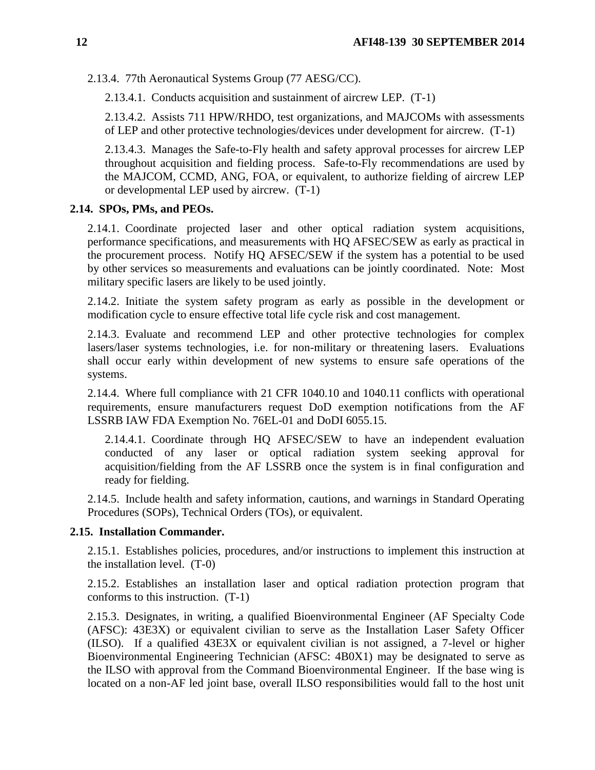2.13.4. 77th Aeronautical Systems Group (77 AESG/CC).

2.13.4.1. Conducts acquisition and sustainment of aircrew LEP. (T-1)

2.13.4.2. Assists 711 HPW/RHDO, test organizations, and MAJCOMs with assessments of LEP and other protective technologies/devices under development for aircrew. (T-1)

2.13.4.3. Manages the Safe-to-Fly health and safety approval processes for aircrew LEP throughout acquisition and fielding process. Safe-to-Fly recommendations are used by the MAJCOM, CCMD, ANG, FOA, or equivalent, to authorize fielding of aircrew LEP or developmental LEP used by aircrew. (T-1)

### <span id="page-11-0"></span>**2.14. SPOs, PMs, and PEOs.**

2.14.1. Coordinate projected laser and other optical radiation system acquisitions, performance specifications, and measurements with HQ AFSEC/SEW as early as practical in the procurement process. Notify HQ AFSEC/SEW if the system has a potential to be used by other services so measurements and evaluations can be jointly coordinated. Note: Most military specific lasers are likely to be used jointly.

2.14.2. Initiate the system safety program as early as possible in the development or modification cycle to ensure effective total life cycle risk and cost management.

2.14.3. Evaluate and recommend LEP and other protective technologies for complex lasers/laser systems technologies, i.e. for non-military or threatening lasers. Evaluations shall occur early within development of new systems to ensure safe operations of the systems.

2.14.4. Where full compliance with 21 CFR 1040.10 and 1040.11 conflicts with operational requirements, ensure manufacturers request DoD exemption notifications from the AF LSSRB IAW FDA Exemption No. 76EL-01 and DoDI 6055.15.

2.14.4.1. Coordinate through HQ AFSEC/SEW to have an independent evaluation conducted of any laser or optical radiation system seeking approval for acquisition/fielding from the AF LSSRB once the system is in final configuration and ready for fielding.

2.14.5. Include health and safety information, cautions, and warnings in Standard Operating Procedures (SOPs), Technical Orders (TOs), or equivalent.

### <span id="page-11-1"></span>**2.15. Installation Commander.**

2.15.1. Establishes policies, procedures, and/or instructions to implement this instruction at the installation level. (T-0)

2.15.2. Establishes an installation laser and optical radiation protection program that conforms to this instruction. (T-1)

2.15.3. Designates, in writing, a qualified Bioenvironmental Engineer (AF Specialty Code (AFSC): 43E3X) or equivalent civilian to serve as the Installation Laser Safety Officer (ILSO). If a qualified 43E3X or equivalent civilian is not assigned, a 7-level or higher Bioenvironmental Engineering Technician (AFSC: 4B0X1) may be designated to serve as the ILSO with approval from the Command Bioenvironmental Engineer. If the base wing is located on a non-AF led joint base, overall ILSO responsibilities would fall to the host unit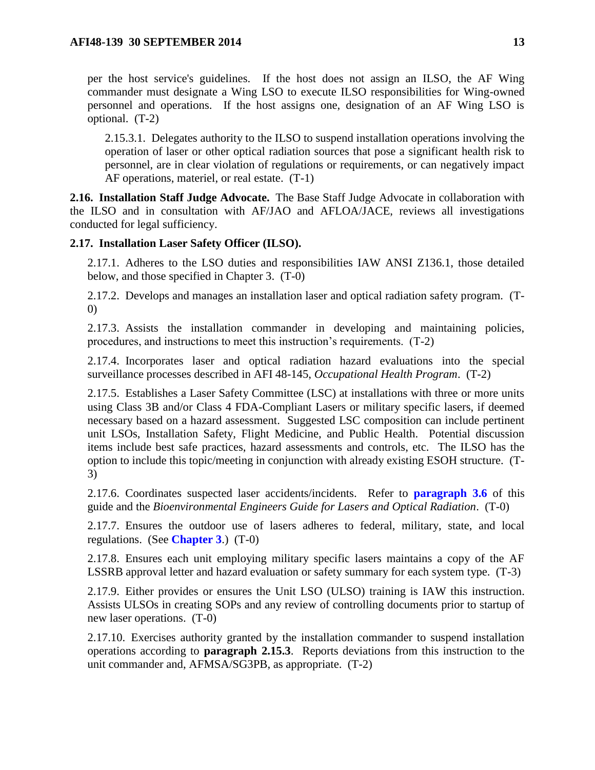2.15.3.1. Delegates authority to the ILSO to suspend installation operations involving the operation of laser or other optical radiation sources that pose a significant health risk to personnel, are in clear violation of regulations or requirements, or can negatively impact AF operations, materiel, or real estate. (T-1)

<span id="page-12-0"></span>**2.16. Installation Staff Judge Advocate.** The Base Staff Judge Advocate in collaboration with the ILSO and in consultation with AF/JAO and AFLOA/JACE, reviews all investigations conducted for legal sufficiency.

### <span id="page-12-1"></span>**2.17. Installation Laser Safety Officer (ILSO).**

2.17.1. Adheres to the LSO duties and responsibilities IAW ANSI Z136.1, those detailed below, and those specified in Chapter 3. (T-0)

2.17.2. Develops and manages an installation laser and optical radiation safety program. (T-0)

2.17.3. Assists the installation commander in developing and maintaining policies, procedures, and instructions to meet this instruction's requirements. (T-2)

2.17.4. Incorporates laser and optical radiation hazard evaluations into the special surveillance processes described in AFI 48-145, *Occupational Health Program*. (T-2)

2.17.5. Establishes a Laser Safety Committee (LSC) at installations with three or more units using Class 3B and/or Class 4 FDA-Compliant Lasers or military specific lasers, if deemed necessary based on a hazard assessment. Suggested LSC composition can include pertinent unit LSOs, Installation Safety, Flight Medicine, and Public Health. Potential discussion items include best safe practices, hazard assessments and controls, etc. The ILSO has the option to include this topic/meeting in conjunction with already existing ESOH structure. (T-3)

2.17.6. Coordinates suspected laser accidents/incidents. Refer to **[paragraph 3.6](#page-20-0)** of this guide and the *Bioenvironmental Engineers Guide for Lasers and Optical Radiation*. (T-0)

2.17.7. Ensures the outdoor use of lasers adheres to federal, military, state, and local regulations. (See **[Chapter 3](#page-18-0)**.) (T-0)

2.17.8. Ensures each unit employing military specific lasers maintains a copy of the AF LSSRB approval letter and hazard evaluation or safety summary for each system type. (T-3)

2.17.9. Either provides or ensures the Unit LSO (ULSO) training is IAW this instruction. Assists ULSOs in creating SOPs and any review of controlling documents prior to startup of new laser operations. (T-0)

2.17.10. Exercises authority granted by the installation commander to suspend installation operations according to **paragraph 2.15.3**. Reports deviations from this instruction to the unit commander and, AFMSA/SG3PB, as appropriate. (T-2)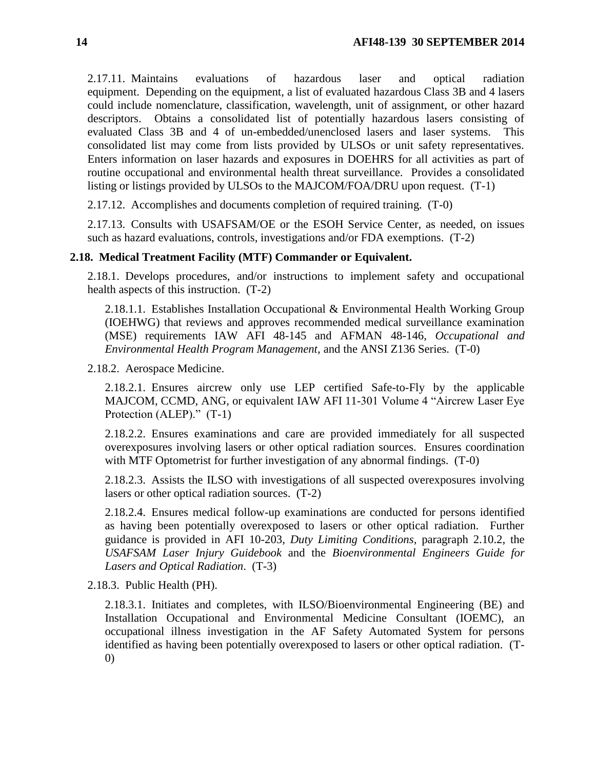2.17.11. Maintains evaluations of hazardous laser and optical radiation equipment. Depending on the equipment, a list of evaluated hazardous Class 3B and 4 lasers could include nomenclature, classification, wavelength, unit of assignment, or other hazard descriptors. Obtains a consolidated list of potentially hazardous lasers consisting of evaluated Class 3B and 4 of un-embedded/unenclosed lasers and laser systems. This consolidated list may come from lists provided by ULSOs or unit safety representatives. Enters information on laser hazards and exposures in DOEHRS for all activities as part of routine occupational and environmental health threat surveillance. Provides a consolidated listing or listings provided by ULSOs to the MAJCOM/FOA/DRU upon request. (T-1)

2.17.12. Accomplishes and documents completion of required training. (T-0)

2.17.13. Consults with USAFSAM/OE or the ESOH Service Center, as needed, on issues such as hazard evaluations, controls, investigations and/or FDA exemptions. (T-2)

### <span id="page-13-0"></span>**2.18. Medical Treatment Facility (MTF) Commander or Equivalent.**

2.18.1. Develops procedures, and/or instructions to implement safety and occupational health aspects of this instruction. (T-2)

2.18.1.1. Establishes Installation Occupational & Environmental Health Working Group (IOEHWG) that reviews and approves recommended medical surveillance examination (MSE) requirements IAW AFI 48-145 and AFMAN 48-146, *Occupational and Environmental Health Program Management*, and the ANSI Z136 Series. (T-0)

2.18.2. Aerospace Medicine.

2.18.2.1. Ensures aircrew only use LEP certified Safe-to-Fly by the applicable MAJCOM, CCMD, ANG, or equivalent IAW AFI 11-301 Volume 4 "Aircrew Laser Eye Protection (ALEP)." (T-1)

2.18.2.2. Ensures examinations and care are provided immediately for all suspected overexposures involving lasers or other optical radiation sources. Ensures coordination with MTF Optometrist for further investigation of any abnormal findings. (T-0)

2.18.2.3. Assists the ILSO with investigations of all suspected overexposures involving lasers or other optical radiation sources. (T-2)

2.18.2.4. Ensures medical follow-up examinations are conducted for persons identified as having been potentially overexposed to lasers or other optical radiation. Further guidance is provided in AFI 10-203, *Duty Limiting Conditions*, paragraph 2.10.2, the *USAFSAM Laser Injury Guidebook* and the *Bioenvironmental Engineers Guide for Lasers and Optical Radiation*. (T-3)

2.18.3. Public Health (PH).

2.18.3.1. Initiates and completes, with ILSO/Bioenvironmental Engineering (BE) and Installation Occupational and Environmental Medicine Consultant (IOEMC), an occupational illness investigation in the AF Safety Automated System for persons identified as having been potentially overexposed to lasers or other optical radiation. (T-0)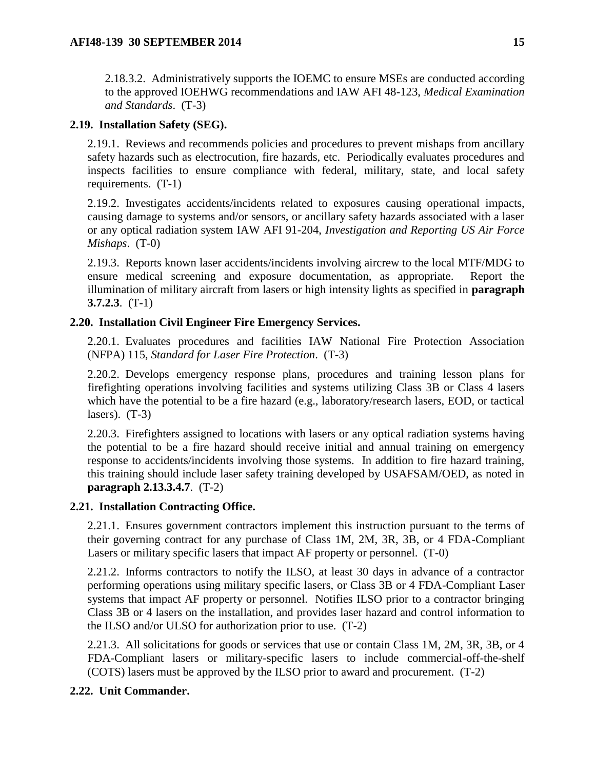2.18.3.2. Administratively supports the IOEMC to ensure MSEs are conducted according to the approved IOEHWG recommendations and IAW AFI 48-123, *Medical Examination and Standards*. (T-3)

# <span id="page-14-0"></span>**2.19. Installation Safety (SEG).**

2.19.1. Reviews and recommends policies and procedures to prevent mishaps from ancillary safety hazards such as electrocution, fire hazards, etc. Periodically evaluates procedures and inspects facilities to ensure compliance with federal, military, state, and local safety requirements. (T-1)

2.19.2. Investigates accidents/incidents related to exposures causing operational impacts, causing damage to systems and/or sensors, or ancillary safety hazards associated with a laser or any optical radiation system IAW AFI 91-204, *Investigation and Reporting US Air Force Mishaps*. (T-0)

2.19.3. Reports known laser accidents/incidents involving aircrew to the local MTF/MDG to ensure medical screening and exposure documentation, as appropriate. Report the illumination of military aircraft from lasers or high intensity lights as specified in **paragraph 3.7.2.3**. (T-1)

# <span id="page-14-1"></span>**2.20. Installation Civil Engineer Fire Emergency Services.**

2.20.1. Evaluates procedures and facilities IAW National Fire Protection Association (NFPA) 115, *Standard for Laser Fire Protection*. (T-3)

2.20.2. Develops emergency response plans, procedures and training lesson plans for firefighting operations involving facilities and systems utilizing Class 3B or Class 4 lasers which have the potential to be a fire hazard (e.g., laboratory/research lasers, EOD, or tactical lasers).  $(T-3)$ 

2.20.3. Firefighters assigned to locations with lasers or any optical radiation systems having the potential to be a fire hazard should receive initial and annual training on emergency response to accidents/incidents involving those systems. In addition to fire hazard training, this training should include laser safety training developed by USAFSAM/OED, as noted in **paragraph 2.13.3.4.7**. (T-2)

# <span id="page-14-2"></span>**2.21. Installation Contracting Office.**

2.21.1. Ensures government contractors implement this instruction pursuant to the terms of their governing contract for any purchase of Class 1M, 2M, 3R, 3B, or 4 FDA-Compliant Lasers or military specific lasers that impact AF property or personnel. (T-0)

2.21.2. Informs contractors to notify the ILSO, at least 30 days in advance of a contractor performing operations using military specific lasers, or Class 3B or 4 FDA-Compliant Laser systems that impact AF property or personnel. Notifies ILSO prior to a contractor bringing Class 3B or 4 lasers on the installation, and provides laser hazard and control information to the ILSO and/or ULSO for authorization prior to use. (T-2)

2.21.3. All solicitations for goods or services that use or contain Class 1M, 2M, 3R, 3B, or 4 FDA-Compliant lasers or military-specific lasers to include commercial-off-the-shelf (COTS) lasers must be approved by the ILSO prior to award and procurement. (T-2)

# <span id="page-14-3"></span>**2.22. Unit Commander.**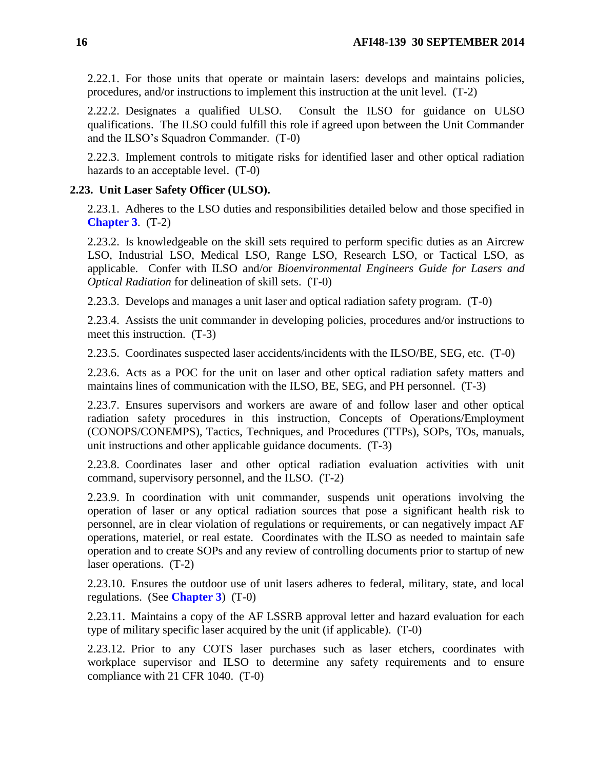2.22.1. For those units that operate or maintain lasers: develops and maintains policies, procedures, and/or instructions to implement this instruction at the unit level. (T-2)

2.22.2. Designates a qualified ULSO. Consult the ILSO for guidance on ULSO qualifications. The ILSO could fulfill this role if agreed upon between the Unit Commander and the ILSO's Squadron Commander. (T-0)

2.22.3. Implement controls to mitigate risks for identified laser and other optical radiation hazards to an acceptable level. (T-0)

### <span id="page-15-0"></span>**2.23. Unit Laser Safety Officer (ULSO).**

2.23.1. Adheres to the LSO duties and responsibilities detailed below and those specified in **[Chapter 3](#page-18-0)**. (T-2)

2.23.2. Is knowledgeable on the skill sets required to perform specific duties as an Aircrew LSO, Industrial LSO, Medical LSO, Range LSO, Research LSO, or Tactical LSO, as applicable. Confer with ILSO and/or *Bioenvironmental Engineers Guide for Lasers and Optical Radiation* for delineation of skill sets. (T-0)

2.23.3. Develops and manages a unit laser and optical radiation safety program. (T-0)

2.23.4. Assists the unit commander in developing policies, procedures and/or instructions to meet this instruction. (T-3)

2.23.5. Coordinates suspected laser accidents/incidents with the ILSO/BE, SEG, etc. (T-0)

2.23.6. Acts as a POC for the unit on laser and other optical radiation safety matters and maintains lines of communication with the ILSO, BE, SEG, and PH personnel. (T-3)

2.23.7. Ensures supervisors and workers are aware of and follow laser and other optical radiation safety procedures in this instruction, Concepts of Operations/Employment (CONOPS/CONEMPS), Tactics, Techniques, and Procedures (TTPs), SOPs, TOs, manuals, unit instructions and other applicable guidance documents. (T-3)

2.23.8. Coordinates laser and other optical radiation evaluation activities with unit command, supervisory personnel, and the ILSO. (T-2)

2.23.9. In coordination with unit commander, suspends unit operations involving the operation of laser or any optical radiation sources that pose a significant health risk to personnel, are in clear violation of regulations or requirements, or can negatively impact AF operations, materiel, or real estate. Coordinates with the ILSO as needed to maintain safe operation and to create SOPs and any review of controlling documents prior to startup of new laser operations. (T-2)

2.23.10. Ensures the outdoor use of unit lasers adheres to federal, military, state, and local regulations. (See **[Chapter 3](#page-18-0)**) (T-0)

2.23.11. Maintains a copy of the AF LSSRB approval letter and hazard evaluation for each type of military specific laser acquired by the unit (if applicable). (T-0)

2.23.12. Prior to any COTS laser purchases such as laser etchers, coordinates with workplace supervisor and ILSO to determine any safety requirements and to ensure compliance with 21 CFR 1040. (T-0)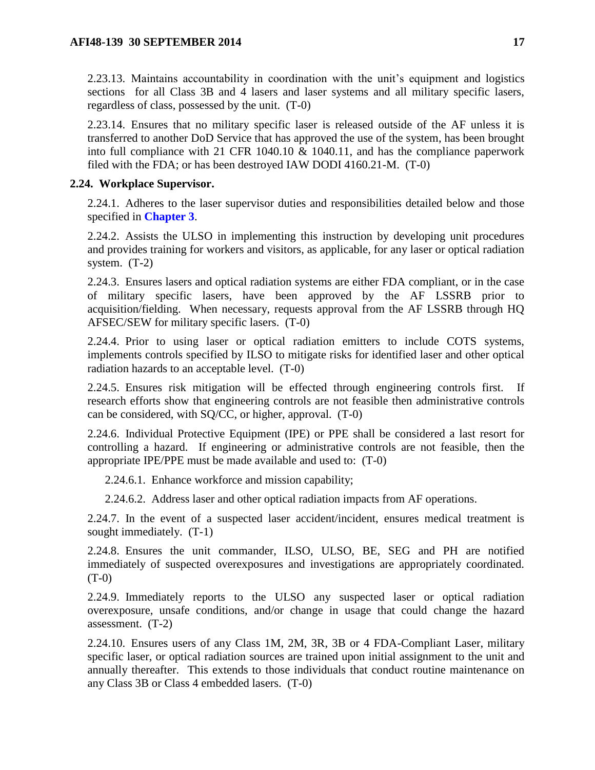2.23.13. Maintains accountability in coordination with the unit's equipment and logistics sections for all Class 3B and 4 lasers and laser systems and all military specific lasers, regardless of class, possessed by the unit. (T-0)

2.23.14. Ensures that no military specific laser is released outside of the AF unless it is transferred to another DoD Service that has approved the use of the system, has been brought into full compliance with 21 CFR 1040.10  $\&$  1040.11, and has the compliance paperwork filed with the FDA; or has been destroyed IAW DODI 4160.21-M. (T-0)

### <span id="page-16-0"></span>**2.24. Workplace Supervisor.**

2.24.1. Adheres to the laser supervisor duties and responsibilities detailed below and those specified in **[Chapter 3](#page-18-0)**.

2.24.2. Assists the ULSO in implementing this instruction by developing unit procedures and provides training for workers and visitors, as applicable, for any laser or optical radiation system. (T-2)

2.24.3. Ensures lasers and optical radiation systems are either FDA compliant, or in the case of military specific lasers, have been approved by the AF LSSRB prior to acquisition/fielding. When necessary, requests approval from the AF LSSRB through HQ AFSEC/SEW for military specific lasers. (T-0)

2.24.4. Prior to using laser or optical radiation emitters to include COTS systems, implements controls specified by ILSO to mitigate risks for identified laser and other optical radiation hazards to an acceptable level. (T-0)

2.24.5. Ensures risk mitigation will be effected through engineering controls first. If research efforts show that engineering controls are not feasible then administrative controls can be considered, with SQ/CC, or higher, approval. (T-0)

2.24.6. Individual Protective Equipment (IPE) or PPE shall be considered a last resort for controlling a hazard. If engineering or administrative controls are not feasible, then the appropriate IPE/PPE must be made available and used to: (T-0)

2.24.6.1. Enhance workforce and mission capability;

2.24.6.2. Address laser and other optical radiation impacts from AF operations.

2.24.7. In the event of a suspected laser accident/incident, ensures medical treatment is sought immediately. (T-1)

2.24.8. Ensures the unit commander, ILSO, ULSO, BE, SEG and PH are notified immediately of suspected overexposures and investigations are appropriately coordinated. (T-0)

2.24.9. Immediately reports to the ULSO any suspected laser or optical radiation overexposure, unsafe conditions, and/or change in usage that could change the hazard assessment. (T-2)

2.24.10. Ensures users of any Class 1M, 2M, 3R, 3B or 4 FDA-Compliant Laser, military specific laser, or optical radiation sources are trained upon initial assignment to the unit and annually thereafter. This extends to those individuals that conduct routine maintenance on any Class 3B or Class 4 embedded lasers. (T-0)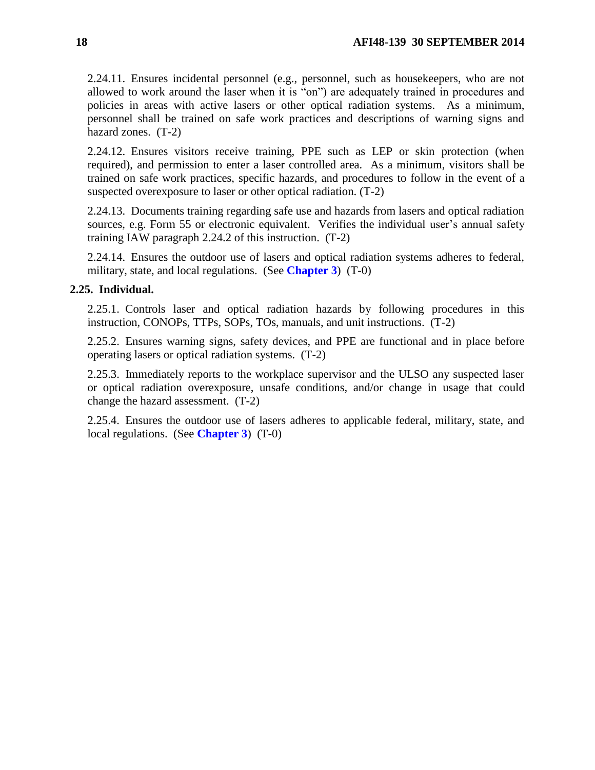2.24.11. Ensures incidental personnel (e.g., personnel, such as housekeepers, who are not allowed to work around the laser when it is "on") are adequately trained in procedures and policies in areas with active lasers or other optical radiation systems. As a minimum, personnel shall be trained on safe work practices and descriptions of warning signs and hazard zones. (T-2)

2.24.12. Ensures visitors receive training, PPE such as LEP or skin protection (when required), and permission to enter a laser controlled area. As a minimum, visitors shall be trained on safe work practices, specific hazards, and procedures to follow in the event of a suspected overexposure to laser or other optical radiation. (T-2)

2.24.13. Documents training regarding safe use and hazards from lasers and optical radiation sources, e.g. Form 55 or electronic equivalent. Verifies the individual user's annual safety training IAW paragraph 2.24.2 of this instruction. (T-2)

2.24.14. Ensures the outdoor use of lasers and optical radiation systems adheres to federal, military, state, and local regulations. (See **[Chapter 3](#page-18-0)**) (T-0)

### <span id="page-17-0"></span>**2.25. Individual.**

2.25.1. Controls laser and optical radiation hazards by following procedures in this instruction, CONOPs, TTPs, SOPs, TOs, manuals, and unit instructions. (T-2)

2.25.2. Ensures warning signs, safety devices, and PPE are functional and in place before operating lasers or optical radiation systems. (T-2)

2.25.3. Immediately reports to the workplace supervisor and the ULSO any suspected laser or optical radiation overexposure, unsafe conditions, and/or change in usage that could change the hazard assessment. (T-2)

2.25.4. Ensures the outdoor use of lasers adheres to applicable federal, military, state, and local regulations. (See **[Chapter 3](#page-18-0)**) (T-0)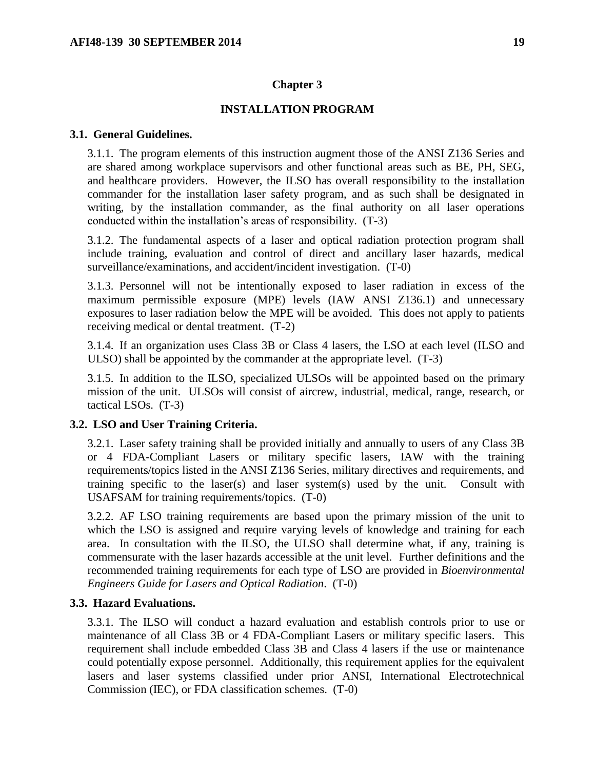#### **Chapter 3**

#### **INSTALLATION PROGRAM**

### <span id="page-18-1"></span><span id="page-18-0"></span>**3.1. General Guidelines.**

3.1.1. The program elements of this instruction augment those of the ANSI Z136 Series and are shared among workplace supervisors and other functional areas such as BE, PH, SEG, and healthcare providers. However, the ILSO has overall responsibility to the installation commander for the installation laser safety program, and as such shall be designated in writing, by the installation commander, as the final authority on all laser operations conducted within the installation's areas of responsibility. (T-3)

3.1.2. The fundamental aspects of a laser and optical radiation protection program shall include training, evaluation and control of direct and ancillary laser hazards, medical surveillance/examinations, and accident/incident investigation. (T-0)

3.1.3. Personnel will not be intentionally exposed to laser radiation in excess of the maximum permissible exposure (MPE) levels (IAW ANSI Z136.1) and unnecessary exposures to laser radiation below the MPE will be avoided. This does not apply to patients receiving medical or dental treatment. (T-2)

3.1.4. If an organization uses Class 3B or Class 4 lasers, the LSO at each level (ILSO and ULSO) shall be appointed by the commander at the appropriate level. (T-3)

3.1.5. In addition to the ILSO, specialized ULSOs will be appointed based on the primary mission of the unit. ULSOs will consist of aircrew, industrial, medical, range, research, or tactical LSOs. (T-3)

### <span id="page-18-2"></span>**3.2. LSO and User Training Criteria.**

3.2.1. Laser safety training shall be provided initially and annually to users of any Class 3B or 4 FDA-Compliant Lasers or military specific lasers, IAW with the training requirements/topics listed in the ANSI Z136 Series, military directives and requirements, and training specific to the laser(s) and laser system(s) used by the unit. Consult with USAFSAM for training requirements/topics. (T-0)

3.2.2. AF LSO training requirements are based upon the primary mission of the unit to which the LSO is assigned and require varying levels of knowledge and training for each area. In consultation with the ILSO, the ULSO shall determine what, if any, training is commensurate with the laser hazards accessible at the unit level. Further definitions and the recommended training requirements for each type of LSO are provided in *Bioenvironmental Engineers Guide for Lasers and Optical Radiation*. (T-0)

#### <span id="page-18-3"></span>**3.3. Hazard Evaluations.**

3.3.1. The ILSO will conduct a hazard evaluation and establish controls prior to use or maintenance of all Class 3B or 4 FDA-Compliant Lasers or military specific lasers. This requirement shall include embedded Class 3B and Class 4 lasers if the use or maintenance could potentially expose personnel. Additionally, this requirement applies for the equivalent lasers and laser systems classified under prior ANSI, International Electrotechnical Commission (IEC), or FDA classification schemes. (T-0)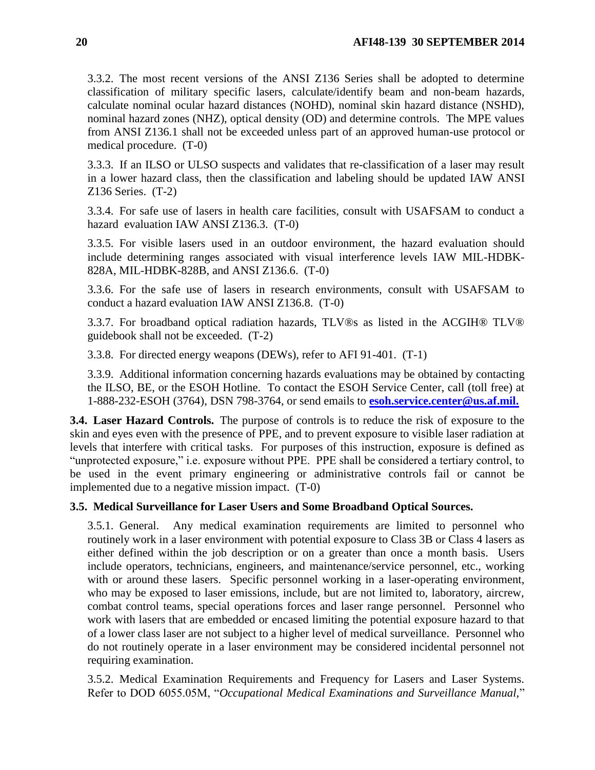3.3.2. The most recent versions of the ANSI Z136 Series shall be adopted to determine classification of military specific lasers, calculate/identify beam and non-beam hazards, calculate nominal ocular hazard distances (NOHD), nominal skin hazard distance (NSHD), nominal hazard zones (NHZ), optical density (OD) and determine controls. The MPE values from ANSI Z136.1 shall not be exceeded unless part of an approved human-use protocol or medical procedure. (T-0)

3.3.3. If an ILSO or ULSO suspects and validates that re-classification of a laser may result in a lower hazard class, then the classification and labeling should be updated IAW ANSI Z136 Series. (T-2)

3.3.4. For safe use of lasers in health care facilities, consult with USAFSAM to conduct a hazard evaluation IAW ANSI Z136.3. (T-0)

3.3.5. For visible lasers used in an outdoor environment, the hazard evaluation should include determining ranges associated with visual interference levels IAW MIL-HDBK-828A, MIL-HDBK-828B, and ANSI Z136.6. (T-0)

3.3.6. For the safe use of lasers in research environments, consult with USAFSAM to conduct a hazard evaluation IAW ANSI Z136.8. (T-0)

3.3.7. For broadband optical radiation hazards, TLV®s as listed in the ACGIH® TLV® guidebook shall not be exceeded. (T-2)

3.3.8. For directed energy weapons (DEWs), refer to AFI 91-401. (T-1)

3.3.9. Additional information concerning hazards evaluations may be obtained by contacting the ILSO, BE, or the ESOH Hotline. To contact the ESOH Service Center, call (toll free) at 1-888-232-ESOH (3764), DSN 798-3764, or send emails to **[esoh.service.center@us.af.mil.](mailto:esoh.service.center@us.af.mil.)**

<span id="page-19-0"></span>**3.4. Laser Hazard Controls.** The purpose of controls is to reduce the risk of exposure to the skin and eyes even with the presence of PPE, and to prevent exposure to visible laser radiation at levels that interfere with critical tasks. For purposes of this instruction, exposure is defined as "unprotected exposure," i.e. exposure without PPE. PPE shall be considered a tertiary control, to be used in the event primary engineering or administrative controls fail or cannot be implemented due to a negative mission impact. (T-0)

### <span id="page-19-1"></span>**3.5. Medical Surveillance for Laser Users and Some Broadband Optical Sources.**

3.5.1. General. Any medical examination requirements are limited to personnel who routinely work in a laser environment with potential exposure to Class 3B or Class 4 lasers as either defined within the job description or on a greater than once a month basis. Users include operators, technicians, engineers, and maintenance/service personnel, etc., working with or around these lasers. Specific personnel working in a laser-operating environment, who may be exposed to laser emissions, include, but are not limited to, laboratory, aircrew, combat control teams, special operations forces and laser range personnel. Personnel who work with lasers that are embedded or encased limiting the potential exposure hazard to that of a lower class laser are not subject to a higher level of medical surveillance. Personnel who do not routinely operate in a laser environment may be considered incidental personnel not requiring examination.

3.5.2. Medical Examination Requirements and Frequency for Lasers and Laser Systems. Refer to DOD 6055.05M, "*Occupational Medical Examinations and Surveillance Manual,*"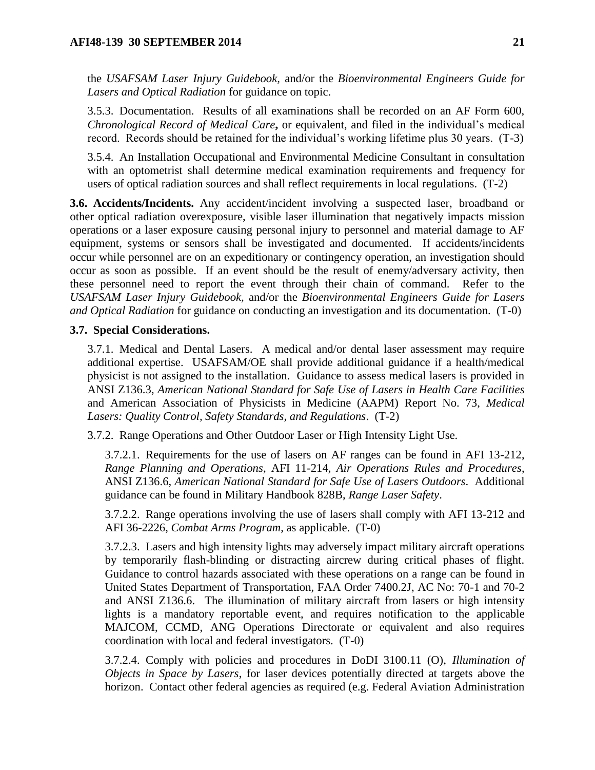the *USAFSAM Laser Injury Guidebook,* and/or the *Bioenvironmental Engineers Guide for Lasers and Optical Radiation* for guidance on topic.

3.5.3. Documentation. Results of all examinations shall be recorded on an AF Form 600, *Chronological Record of Medical Care***,** or equivalent, and filed in the individual's medical record. Records should be retained for the individual's working lifetime plus 30 years. (T-3)

3.5.4. An Installation Occupational and Environmental Medicine Consultant in consultation with an optometrist shall determine medical examination requirements and frequency for users of optical radiation sources and shall reflect requirements in local regulations. (T-2)

<span id="page-20-0"></span>**3.6. Accidents/Incidents.** Any accident/incident involving a suspected laser, broadband or other optical radiation overexposure, visible laser illumination that negatively impacts mission operations or a laser exposure causing personal injury to personnel and material damage to AF equipment, systems or sensors shall be investigated and documented. If accidents/incidents occur while personnel are on an expeditionary or contingency operation, an investigation should occur as soon as possible. If an event should be the result of enemy/adversary activity, then these personnel need to report the event through their chain of command. Refer to the *USAFSAM Laser Injury Guidebook,* and/or the *Bioenvironmental Engineers Guide for Lasers and Optical Radiation* for guidance on conducting an investigation and its documentation. (T-0)

#### <span id="page-20-1"></span>**3.7. Special Considerations.**

3.7.1. Medical and Dental Lasers. A medical and/or dental laser assessment may require additional expertise. USAFSAM/OE shall provide additional guidance if a health/medical physicist is not assigned to the installation. Guidance to assess medical lasers is provided in ANSI Z136.3, *American National Standard for Safe Use of Lasers in Health Care Facilities* and American Association of Physicists in Medicine (AAPM) Report No. 73, *Medical Lasers: Quality Control, Safety Standards, and Regulations*. (T-2)

3.7.2. Range Operations and Other Outdoor Laser or High Intensity Light Use.

3.7.2.1. Requirements for the use of lasers on AF ranges can be found in AFI 13-212, *Range Planning and Operations*, AFI 11-214, *Air Operations Rules and Procedures*, ANSI Z136.6, *American National Standard for Safe Use of Lasers Outdoors*. Additional guidance can be found in Military Handbook 828B, *Range Laser Safety*.

3.7.2.2. Range operations involving the use of lasers shall comply with AFI 13-212 and AFI 36-2226, *Combat Arms Program*, as applicable. (T-0)

3.7.2.3. Lasers and high intensity lights may adversely impact military aircraft operations by temporarily flash-blinding or distracting aircrew during critical phases of flight. Guidance to control hazards associated with these operations on a range can be found in United States Department of Transportation, FAA Order 7400.2J, AC No: 70-1 and 70-2 and ANSI Z136.6. The illumination of military aircraft from lasers or high intensity lights is a mandatory reportable event, and requires notification to the applicable MAJCOM, CCMD, ANG Operations Directorate or equivalent and also requires coordination with local and federal investigators. (T-0)

3.7.2.4. Comply with policies and procedures in DoDI 3100.11 (O), *Illumination of Objects in Space by Lasers*, for laser devices potentially directed at targets above the horizon. Contact other federal agencies as required (e.g. Federal Aviation Administration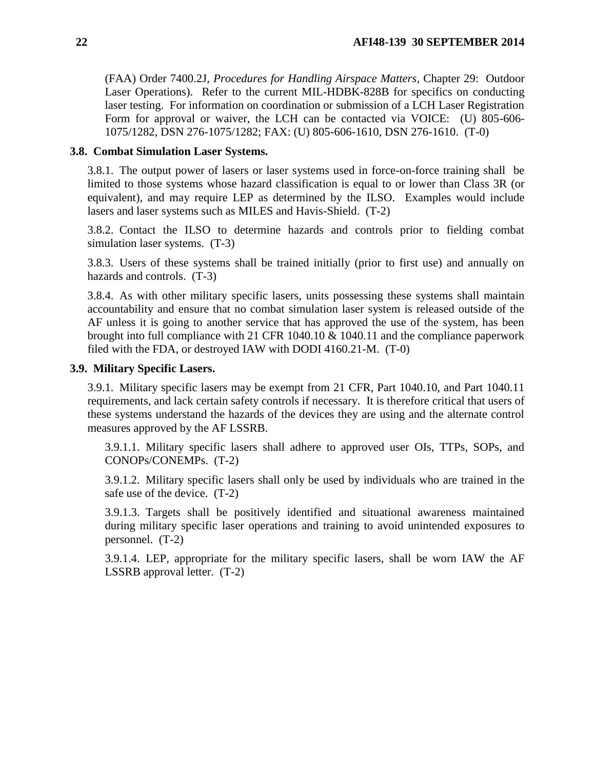(FAA) Order 7400.2J, *Procedures for Handling Airspace Matters*, Chapter 29: Outdoor Laser Operations). Refer to the current MIL-HDBK-828B for specifics on conducting laser testing. For information on coordination or submission of a LCH Laser Registration Form for approval or waiver, the LCH can be contacted via VOICE: (U) 805-606- 1075/1282, DSN 276-1075/1282; FAX: (U) 805-606-1610, DSN 276-1610. (T-0)

#### <span id="page-21-0"></span>**3.8. Combat Simulation Laser Systems.**

3.8.1. The output power of lasers or laser systems used in force-on-force training shall be limited to those systems whose hazard classification is equal to or lower than Class 3R (or equivalent), and may require LEP as determined by the ILSO. Examples would include lasers and laser systems such as MILES and Havis-Shield. (T-2)

3.8.2. Contact the ILSO to determine hazards and controls prior to fielding combat simulation laser systems. (T-3)

3.8.3. Users of these systems shall be trained initially (prior to first use) and annually on hazards and controls. (T-3)

3.8.4. As with other military specific lasers, units possessing these systems shall maintain accountability and ensure that no combat simulation laser system is released outside of the AF unless it is going to another service that has approved the use of the system, has been brought into full compliance with 21 CFR 1040.10 & 1040.11 and the compliance paperwork filed with the FDA, or destroyed IAW with DODI 4160.21-M. (T-0)

### <span id="page-21-1"></span>**3.9. Military Specific Lasers.**

3.9.1. Military specific lasers may be exempt from 21 CFR, Part 1040.10, and Part 1040.11 requirements, and lack certain safety controls if necessary. It is therefore critical that users of these systems understand the hazards of the devices they are using and the alternate control measures approved by the AF LSSRB.

3.9.1.1. Military specific lasers shall adhere to approved user OIs, TTPs, SOPs, and CONOPs/CONEMPs. (T-2)

3.9.1.2. Military specific lasers shall only be used by individuals who are trained in the safe use of the device. (T-2)

3.9.1.3. Targets shall be positively identified and situational awareness maintained during military specific laser operations and training to avoid unintended exposures to personnel. (T-2)

3.9.1.4. LEP, appropriate for the military specific lasers, shall be worn IAW the AF LSSRB approval letter. (T-2)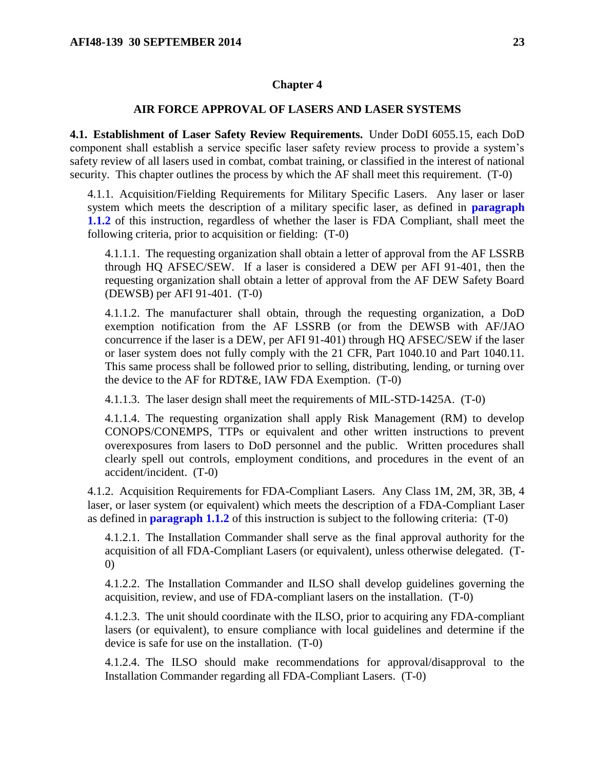#### **Chapter 4**

### **AIR FORCE APPROVAL OF LASERS AND LASER SYSTEMS**

<span id="page-22-1"></span><span id="page-22-0"></span>**4.1. Establishment of Laser Safety Review Requirements.** Under DoDI 6055.15, each DoD component shall establish a service specific laser safety review process to provide a system's safety review of all lasers used in combat, combat training, or classified in the interest of national security. This chapter outlines the process by which the AF shall meet this requirement. (T-0)

4.1.1. Acquisition/Fielding Requirements for Military Specific Lasers. Any laser or laser system which meets the description of a military specific laser, as defined in **[paragraph](#page-4-3)  [1.1.2](#page-4-3)** of this instruction, regardless of whether the laser is FDA Compliant, shall meet the following criteria, prior to acquisition or fielding: (T-0)

4.1.1.1. The requesting organization shall obtain a letter of approval from the AF LSSRB through HQ AFSEC/SEW. If a laser is considered a DEW per AFI 91-401, then the requesting organization shall obtain a letter of approval from the AF DEW Safety Board (DEWSB) per AFI 91-401. (T-0)

4.1.1.2. The manufacturer shall obtain, through the requesting organization, a DoD exemption notification from the AF LSSRB (or from the DEWSB with AF/JAO concurrence if the laser is a DEW, per AFI 91-401) through HQ AFSEC/SEW if the laser or laser system does not fully comply with the 21 CFR, Part 1040.10 and Part 1040.11. This same process shall be followed prior to selling, distributing, lending, or turning over the device to the AF for RDT&E, IAW FDA Exemption. (T-0)

4.1.1.3. The laser design shall meet the requirements of MIL-STD-1425A. (T-0)

4.1.1.4. The requesting organization shall apply Risk Management (RM) to develop CONOPS/CONEMPS, TTPs or equivalent and other written instructions to prevent overexposures from lasers to DoD personnel and the public. Written procedures shall clearly spell out controls, employment conditions, and procedures in the event of an accident/incident. (T-0)

4.1.2. Acquisition Requirements for FDA-Compliant Lasers. Any Class 1M, 2M, 3R, 3B, 4 laser, or laser system (or equivalent) which meets the description of a FDA-Compliant Laser as defined in **[paragraph 1.1.2](#page-4-3)** of this instruction is subject to the following criteria: (T-0)

4.1.2.1. The Installation Commander shall serve as the final approval authority for the acquisition of all FDA-Compliant Lasers (or equivalent), unless otherwise delegated. (T-0)

4.1.2.2. The Installation Commander and ILSO shall develop guidelines governing the acquisition, review, and use of FDA-compliant lasers on the installation. (T-0)

4.1.2.3. The unit should coordinate with the ILSO, prior to acquiring any FDA-compliant lasers (or equivalent), to ensure compliance with local guidelines and determine if the device is safe for use on the installation. (T-0)

4.1.2.4. The ILSO should make recommendations for approval/disapproval to the Installation Commander regarding all FDA-Compliant Lasers. (T-0)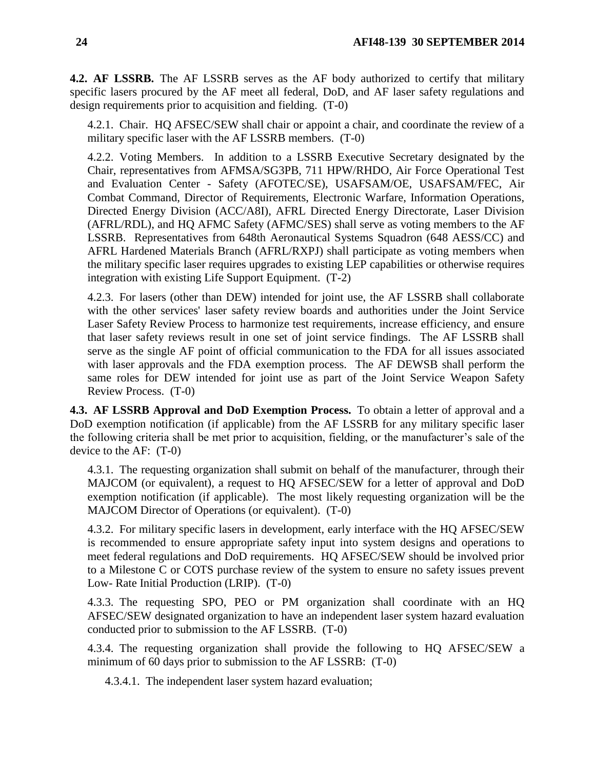<span id="page-23-0"></span>**4.2. AF LSSRB.** The AF LSSRB serves as the AF body authorized to certify that military specific lasers procured by the AF meet all federal, DoD, and AF laser safety regulations and design requirements prior to acquisition and fielding. (T-0)

4.2.1. Chair. HQ AFSEC/SEW shall chair or appoint a chair, and coordinate the review of a military specific laser with the AF LSSRB members. (T-0)

4.2.2. Voting Members. In addition to a LSSRB Executive Secretary designated by the Chair, representatives from AFMSA/SG3PB, 711 HPW/RHDO, Air Force Operational Test and Evaluation Center - Safety (AFOTEC/SE), USAFSAM/OE, USAFSAM/FEC, Air Combat Command, Director of Requirements, Electronic Warfare, Information Operations, Directed Energy Division (ACC/A8I), AFRL Directed Energy Directorate, Laser Division (AFRL/RDL), and HQ AFMC Safety (AFMC/SES) shall serve as voting members to the AF LSSRB. Representatives from 648th Aeronautical Systems Squadron (648 AESS/CC) and AFRL Hardened Materials Branch (AFRL/RXPJ) shall participate as voting members when the military specific laser requires upgrades to existing LEP capabilities or otherwise requires integration with existing Life Support Equipment. (T-2)

4.2.3. For lasers (other than DEW) intended for joint use, the AF LSSRB shall collaborate with the other services' laser safety review boards and authorities under the Joint Service Laser Safety Review Process to harmonize test requirements, increase efficiency, and ensure that laser safety reviews result in one set of joint service findings. The AF LSSRB shall serve as the single AF point of official communication to the FDA for all issues associated with laser approvals and the FDA exemption process. The AF DEWSB shall perform the same roles for DEW intended for joint use as part of the Joint Service Weapon Safety Review Process. (T-0)

<span id="page-23-1"></span>**4.3. AF LSSRB Approval and DoD Exemption Process.** To obtain a letter of approval and a DoD exemption notification (if applicable) from the AF LSSRB for any military specific laser the following criteria shall be met prior to acquisition, fielding, or the manufacturer's sale of the device to the AF: (T-0)

4.3.1. The requesting organization shall submit on behalf of the manufacturer, through their MAJCOM (or equivalent), a request to HQ AFSEC/SEW for a letter of approval and DoD exemption notification (if applicable). The most likely requesting organization will be the MAJCOM Director of Operations (or equivalent). (T-0)

4.3.2. For military specific lasers in development, early interface with the HQ AFSEC/SEW is recommended to ensure appropriate safety input into system designs and operations to meet federal regulations and DoD requirements. HQ AFSEC/SEW should be involved prior to a Milestone C or COTS purchase review of the system to ensure no safety issues prevent Low- Rate Initial Production (LRIP). (T-0)

4.3.3. The requesting SPO, PEO or PM organization shall coordinate with an HQ AFSEC/SEW designated organization to have an independent laser system hazard evaluation conducted prior to submission to the AF LSSRB. (T-0)

4.3.4. The requesting organization shall provide the following to HQ AFSEC/SEW a minimum of 60 days prior to submission to the AF LSSRB: (T-0)

4.3.4.1. The independent laser system hazard evaluation;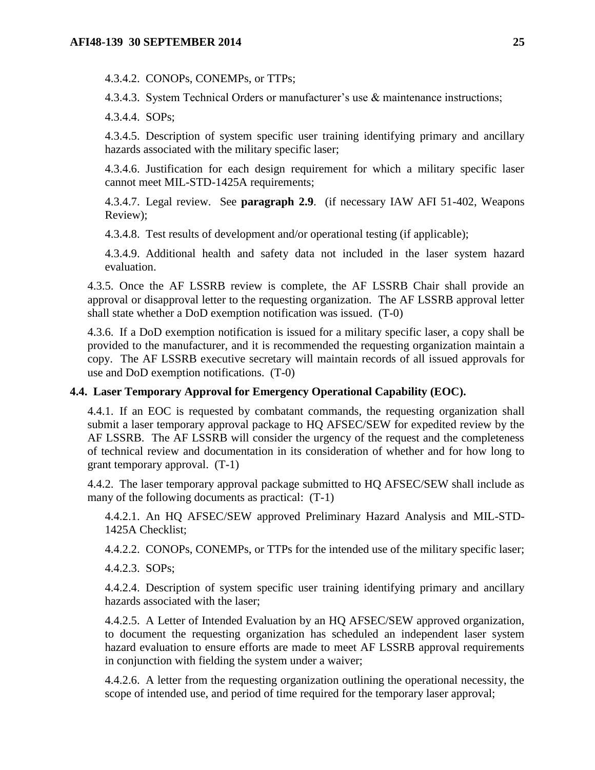4.3.4.2. CONOPs, CONEMPs, or TTPs;

4.3.4.3. System Technical Orders or manufacturer's use & maintenance instructions;

4.3.4.4. SOPs;

4.3.4.5. Description of system specific user training identifying primary and ancillary hazards associated with the military specific laser;

4.3.4.6. Justification for each design requirement for which a military specific laser cannot meet MIL-STD-1425A requirements;

4.3.4.7. Legal review. See **paragraph 2.9**. (if necessary IAW AFI 51-402, Weapons Review);

4.3.4.8. Test results of development and/or operational testing (if applicable);

4.3.4.9. Additional health and safety data not included in the laser system hazard evaluation.

4.3.5. Once the AF LSSRB review is complete, the AF LSSRB Chair shall provide an approval or disapproval letter to the requesting organization. The AF LSSRB approval letter shall state whether a DoD exemption notification was issued. (T-0)

4.3.6. If a DoD exemption notification is issued for a military specific laser, a copy shall be provided to the manufacturer, and it is recommended the requesting organization maintain a copy. The AF LSSRB executive secretary will maintain records of all issued approvals for use and DoD exemption notifications. (T-0)

### <span id="page-24-0"></span>**4.4. Laser Temporary Approval for Emergency Operational Capability (EOC).**

4.4.1. If an EOC is requested by combatant commands, the requesting organization shall submit a laser temporary approval package to HQ AFSEC/SEW for expedited review by the AF LSSRB. The AF LSSRB will consider the urgency of the request and the completeness of technical review and documentation in its consideration of whether and for how long to grant temporary approval. (T-1)

4.4.2. The laser temporary approval package submitted to HQ AFSEC/SEW shall include as many of the following documents as practical: (T-1)

4.4.2.1. An HQ AFSEC/SEW approved Preliminary Hazard Analysis and MIL-STD-1425A Checklist;

4.4.2.2. CONOPs, CONEMPs, or TTPs for the intended use of the military specific laser;

4.4.2.3. SOPs;

4.4.2.4. Description of system specific user training identifying primary and ancillary hazards associated with the laser;

4.4.2.5. A Letter of Intended Evaluation by an HQ AFSEC/SEW approved organization, to document the requesting organization has scheduled an independent laser system hazard evaluation to ensure efforts are made to meet AF LSSRB approval requirements in conjunction with fielding the system under a waiver;

4.4.2.6. A letter from the requesting organization outlining the operational necessity, the scope of intended use, and period of time required for the temporary laser approval;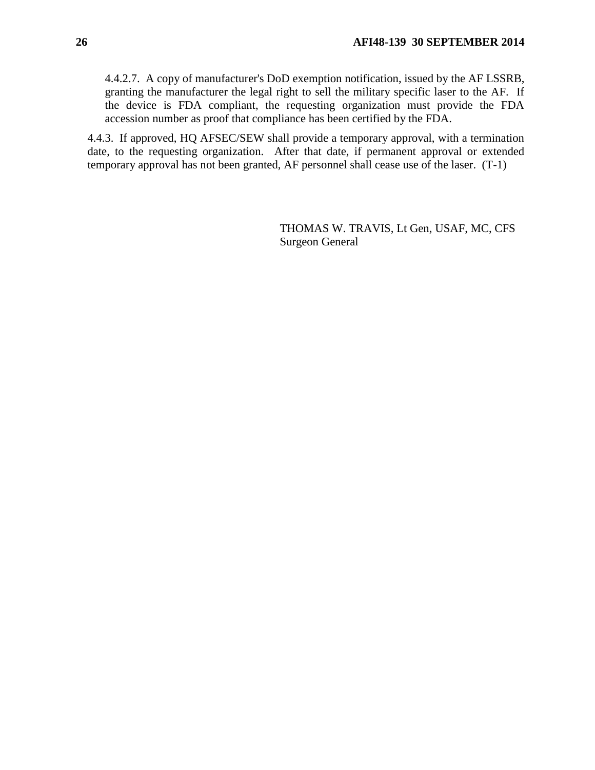4.4.2.7. A copy of manufacturer's DoD exemption notification, issued by the AF LSSRB, granting the manufacturer the legal right to sell the military specific laser to the AF. If the device is FDA compliant, the requesting organization must provide the FDA accession number as proof that compliance has been certified by the FDA.

4.4.3. If approved, HQ AFSEC/SEW shall provide a temporary approval, with a termination date, to the requesting organization. After that date, if permanent approval or extended temporary approval has not been granted, AF personnel shall cease use of the laser. (T-1)

> THOMAS W. TRAVIS, Lt Gen, USAF, MC, CFS Surgeon General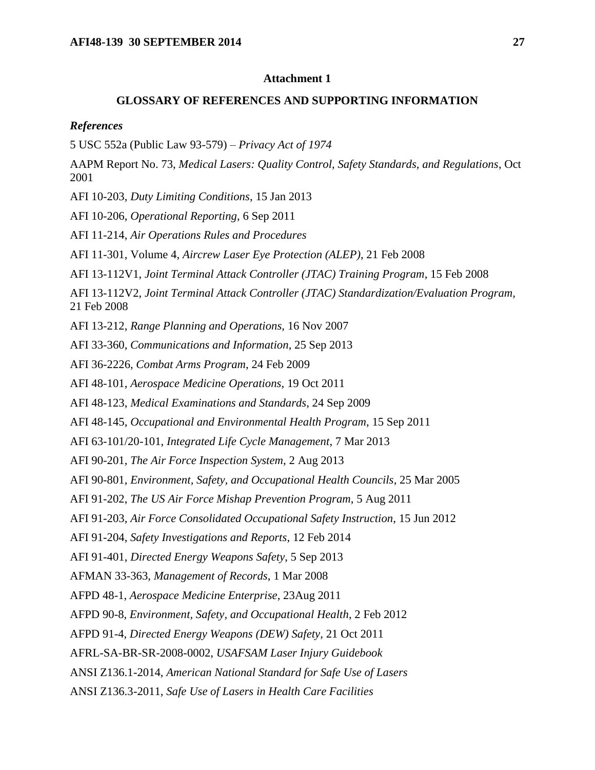### **Attachment 1**

#### **GLOSSARY OF REFERENCES AND SUPPORTING INFORMATION**

#### <span id="page-26-0"></span>*References*

5 USC 552a (Public Law 93-579) – *Privacy Act of 1974*

AAPM Report No. 73, *Medical Lasers: Quality Control, Safety Standards, and Regulations*, Oct 2001

AFI 10-203, *Duty Limiting Conditions*, 15 Jan 2013

AFI 10-206, *Operational Reporting*, 6 Sep 2011

AFI 11-214, *Air Operations Rules and Procedures*

AFI 11-301, Volume 4, *Aircrew Laser Eye Protection (ALEP)*, 21 Feb 2008

AFI 13-112V1, *Joint Terminal Attack Controller (JTAC) Training Program*, 15 Feb 2008

AFI 13-112V2, *Joint Terminal Attack Controller (JTAC) Standardization/Evaluation Program,* 21 Feb 2008

AFI 13-212, *Range Planning and Operations*, 16 Nov 2007

AFI 33-360, *Communications and Information*, 25 Sep 2013

AFI 36-2226, *Combat Arms Program*, 24 Feb 2009

AFI 48-101, *Aerospace Medicine Operations*, 19 Oct 2011

AFI 48-123, *Medical Examinations and Standards*, 24 Sep 2009

AFI 48-145, *Occupational and Environmental Health Program*, 15 Sep 2011

AFI 63-101/20-101, *Integrated Life Cycle Management*, 7 Mar 2013

AFI 90-201, *The Air Force Inspection System*, 2 Aug 2013

AFI 90-801, *Environment, Safety, and Occupational Health Councils*, 25 Mar 2005

AFI 91-202, *The US Air Force Mishap Prevention Program*, 5 Aug 2011

AFI 91-203, *Air Force Consolidated Occupational Safety Instruction*, 15 Jun 2012

AFI 91-204, *Safety Investigations and Reports*, 12 Feb 2014

AFI 91-401, *Directed Energy Weapons Safety*, 5 Sep 2013

AFMAN 33-363, *Management of Records*, 1 Mar 2008

AFPD 48-1, *Aerospace Medicine Enterprise*, 23Aug 2011

AFPD 90-8, *Environment, Safety, and Occupational Health*, 2 Feb 2012

AFPD 91-4, *Directed Energy Weapons (DEW) Safety*, 21 Oct 2011

AFRL-SA-BR-SR-2008-0002, *USAFSAM Laser Injury Guidebook*

ANSI Z136.1-2014, *American National Standard for Safe Use of Lasers*

ANSI Z136.3-2011, *Safe Use of Lasers in Health Care Facilities*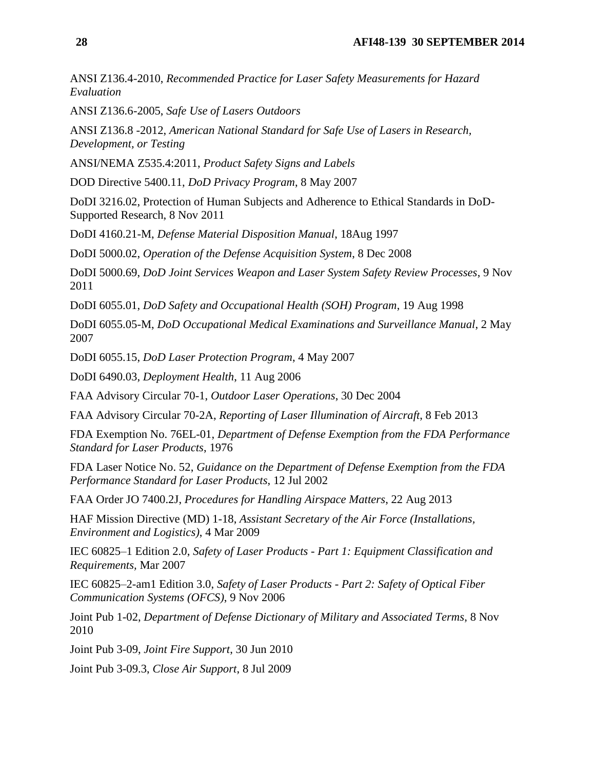ANSI Z136.4-2010, *Recommended Practice for Laser Safety Measurements for Hazard Evaluation*

ANSI Z136.6-2005, *Safe Use of Lasers Outdoors*

ANSI Z136.8 -2012, *American National Standard for Safe Use of Lasers in Research, Development, or Testing*

ANSI/NEMA Z535.4:2011, *Product Safety Signs and Labels*

DOD Directive 5400.11, *DoD Privacy Program*, 8 May 2007

DoDI 3216.02, Protection of Human Subjects and Adherence to Ethical Standards in DoD-Supported Research, 8 Nov 2011

DoDI 4160.21-M, *Defense Material Disposition Manual*, 18Aug 1997

DoDI 5000.02, *Operation of the Defense Acquisition System*, 8 Dec 2008

DoDI 5000.69, *DoD Joint Services Weapon and Laser System Safety Review Processes*, 9 Nov 2011

DoDI 6055.01, *DoD Safety and Occupational Health (SOH) Program*, 19 Aug 1998

DoDI 6055.05-M, *DoD Occupational Medical Examinations and Surveillance Manual*, 2 May 2007

DoDI 6055.15, *DoD Laser Protection Program*, 4 May 2007

DoDI 6490.03, *Deployment Health*, 11 Aug 2006

FAA Advisory Circular 70-1, *Outdoor Laser Operations*, 30 Dec 2004

FAA Advisory Circular 70-2A, *Reporting of Laser Illumination of Aircraft*, 8 Feb 2013

FDA Exemption No. 76EL-01, *Department of Defense Exemption from the FDA Performance Standard for Laser Products*, 1976

FDA Laser Notice No. 52, *Guidance on the Department of Defense Exemption from the FDA Performance Standard for Laser Products*, 12 Jul 2002

FAA Order JO 7400.2J, *Procedures for Handling Airspace Matters*, 22 Aug 2013

HAF Mission Directive (MD) 1-18, *Assistant Secretary of the Air Force (Installations, Environment and Logistics)*, 4 Mar 2009

IEC 60825–1 Edition 2.0, *Safety of Laser Products - Part 1: Equipment Classification and Requirements,* Mar 2007

IEC 60825–2-am1 Edition 3.0, *Safety of Laser Products - Part 2: Safety of Optical Fiber Communication Systems (OFCS)*, 9 Nov 2006

Joint Pub 1-02, *Department of Defense Dictionary of Military and Associated Terms*, 8 Nov 2010

Joint Pub 3-09, *Joint Fire Support*, 30 Jun 2010

Joint Pub 3-09.3, *Close Air Support*, 8 Jul 2009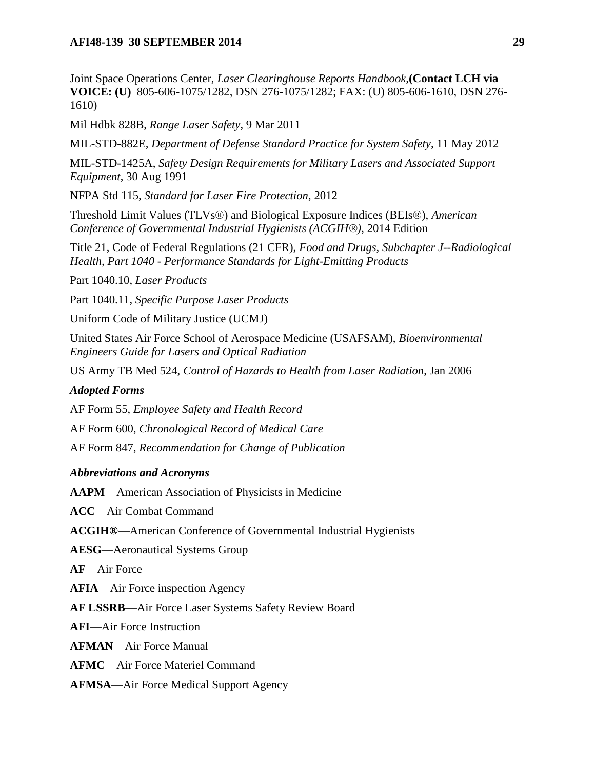### **AFI48-139 30 SEPTEMBER 2014** 29

Joint Space Operations Center, *Laser Clearinghouse Reports Handbook,***(Contact LCH via VOICE: (U)** 805-606-1075/1282, DSN 276-1075/1282; FAX: (U) 805-606-1610, DSN 276- 1610)

Mil Hdbk 828B, *Range Laser Safety*, 9 Mar 2011

MIL-STD-882E*, Department of Defense Standard Practice for System Safety*, 11 May 2012

MIL-STD-1425A, *Safety Design Requirements for Military Lasers and Associated Support Equipment*, 30 Aug 1991

NFPA Std 115, *Standard for Laser Fire Protection*, 2012

Threshold Limit Values (TLVs®) and Biological Exposure Indices (BEIs®), *American Conference of Governmental Industrial Hygienists (ACGIH®)*, 2014 Edition

Title 21, Code of Federal Regulations (21 CFR), *Food and Drugs, Subchapter J--Radiological Health, Part 1040 - Performance Standards for Light-Emitting Products*

Part 1040.10, *Laser Products*

Part 1040.11, *Specific Purpose Laser Products*

Uniform Code of Military Justice (UCMJ)

United States Air Force School of Aerospace Medicine (USAFSAM), *Bioenvironmental Engineers Guide for Lasers and Optical Radiation*

US Army TB Med 524, *Control of Hazards to Health from Laser Radiation*, Jan 2006

### *Adopted Forms*

AF Form 55, *Employee Safety and Health Record*

AF Form 600, *Chronological Record of Medical Care*

AF Form 847, *Recommendation for Change of Publication*

### *Abbreviations and Acronyms*

**AAPM**—American Association of Physicists in Medicine

**ACC**—Air Combat Command

**ACGIH®**—American Conference of Governmental Industrial Hygienists

**AESG**—Aeronautical Systems Group

**AF**—Air Force

**AFIA**—Air Force inspection Agency

**AF LSSRB**—Air Force Laser Systems Safety Review Board

**AFI**—Air Force Instruction

**AFMAN**—Air Force Manual

**AFMC**—Air Force Materiel Command

**AFMSA**—Air Force Medical Support Agency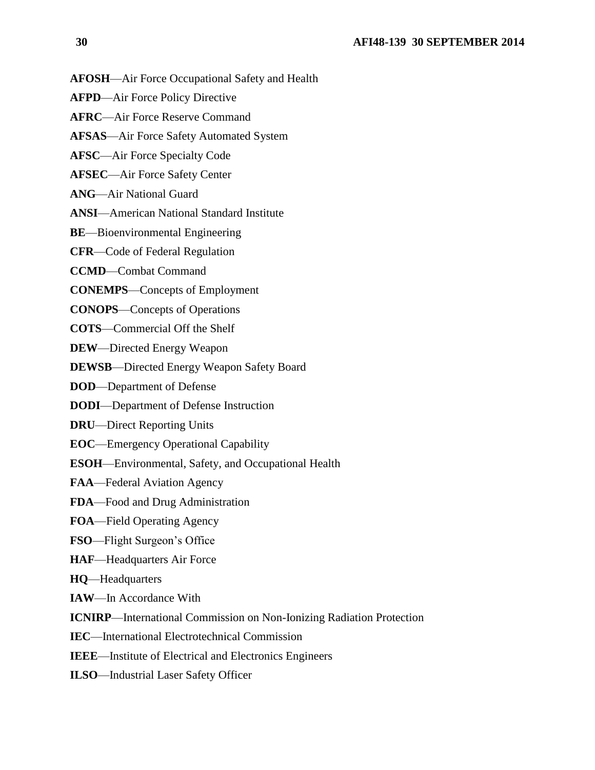- **AFOSH**—Air Force Occupational Safety and Health
- **AFPD**—Air Force Policy Directive
- **AFRC**—Air Force Reserve Command
- **AFSAS**—Air Force Safety Automated System
- **AFSC**—Air Force Specialty Code
- **AFSEC**—Air Force Safety Center
- **ANG**—Air National Guard
- **ANSI**—American National Standard Institute
- **BE**—Bioenvironmental Engineering
- **CFR**—Code of Federal Regulation
- **CCMD**—Combat Command
- **CONEMPS**—Concepts of Employment
- **CONOPS**—Concepts of Operations
- **COTS**—Commercial Off the Shelf
- **DEW**—Directed Energy Weapon
- **DEWSB**—Directed Energy Weapon Safety Board
- **DOD**—Department of Defense
- **DODI**—Department of Defense Instruction
- **DRU**—Direct Reporting Units
- **EOC**—Emergency Operational Capability
- **ESOH**—Environmental, Safety, and Occupational Health
- **FAA**—Federal Aviation Agency
- **FDA**—Food and Drug Administration
- **FOA**—Field Operating Agency
- **FSO**—Flight Surgeon's Office
- **HAF**—Headquarters Air Force
- **HQ**—Headquarters
- **IAW**—In Accordance With
- **ICNIRP**—International Commission on Non-Ionizing Radiation Protection
- **IEC**—International Electrotechnical Commission
- **IEEE**—Institute of Electrical and Electronics Engineers
- **ILSO**—Industrial Laser Safety Officer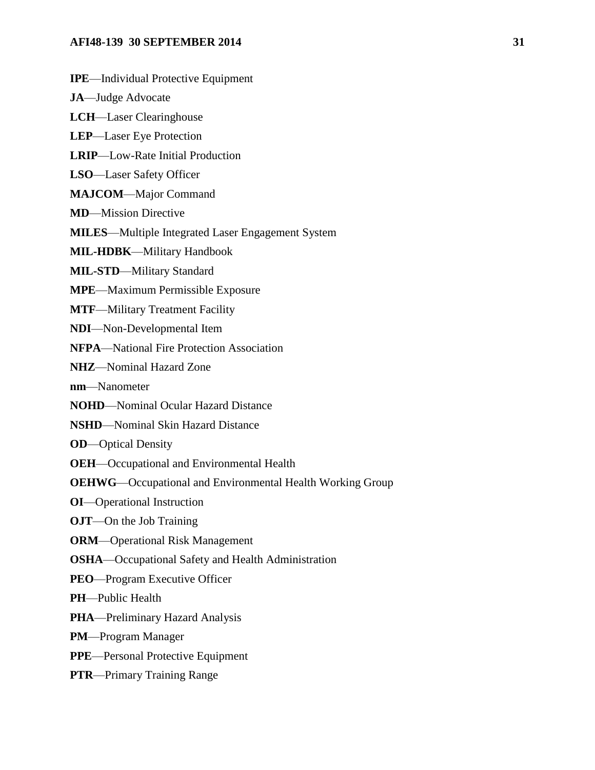#### **AFI48-139 30 SEPTEMBER 2014** 31

**IPE**—Individual Protective Equipment **JA**—Judge Advocate **LCH**—Laser Clearinghouse **LEP**—Laser Eye Protection **LRIP**—Low-Rate Initial Production **LSO**—Laser Safety Officer **MAJCOM**—Major Command **MD**—Mission Directive **MILES**—Multiple Integrated Laser Engagement System **MIL-HDBK**—Military Handbook **MIL-STD**—Military Standard **MPE**—Maximum Permissible Exposure **MTF**—Military Treatment Facility **NDI**—Non-Developmental Item **NFPA**—National Fire Protection Association **NHZ**—Nominal Hazard Zone **nm**—Nanometer **NOHD**—Nominal Ocular Hazard Distance **NSHD**—Nominal Skin Hazard Distance **OD**—Optical Density **OEH**—Occupational and Environmental Health **OEHWG**—Occupational and Environmental Health Working Group **OI**—Operational Instruction **OJT**—On the Job Training **ORM**—Operational Risk Management **OSHA**—Occupational Safety and Health Administration **PEO**—Program Executive Officer **PH**—Public Health **PHA**—Preliminary Hazard Analysis **PM**—Program Manager **PPE**—Personal Protective Equipment **PTR**—Primary Training Range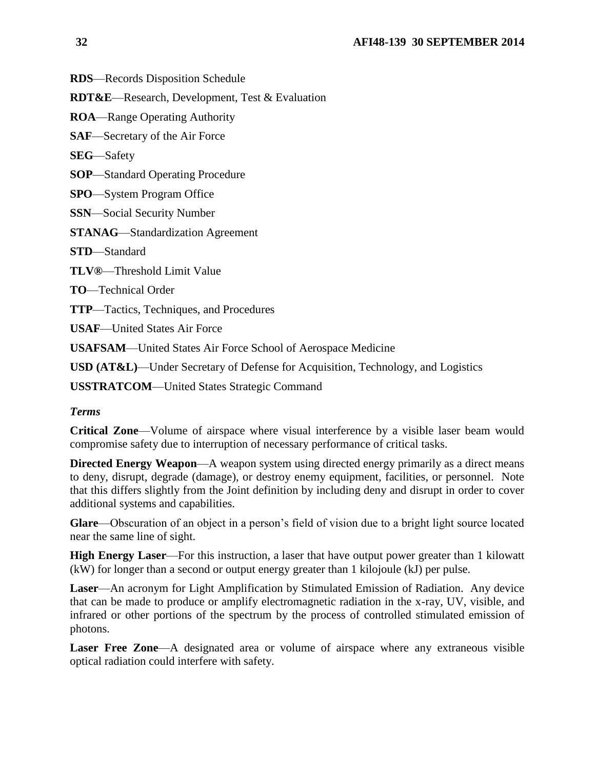**RDS**—Records Disposition Schedule

**RDT&E**—Research, Development, Test & Evaluation

**ROA**—Range Operating Authority

**SAF**—Secretary of the Air Force

**SEG**—Safety

**SOP**—Standard Operating Procedure

**SPO**—System Program Office

**SSN**—Social Security Number

**STANAG**—Standardization Agreement

**STD**—Standard

**TLV®**—Threshold Limit Value

**TO**—Technical Order

**TTP**—Tactics, Techniques, and Procedures

**USAF**—United States Air Force

**USAFSAM**—United States Air Force School of Aerospace Medicine

**USD (AT&L)**—Under Secretary of Defense for Acquisition, Technology, and Logistics

**USSTRATCOM**—United States Strategic Command

### *Terms*

**Critical Zone**—Volume of airspace where visual interference by a visible laser beam would compromise safety due to interruption of necessary performance of critical tasks.

**Directed Energy Weapon—A** weapon system using directed energy primarily as a direct means to deny, disrupt, degrade (damage), or destroy enemy equipment, facilities, or personnel. Note that this differs slightly from the Joint definition by including deny and disrupt in order to cover additional systems and capabilities.

**Glare**—Obscuration of an object in a person's field of vision due to a bright light source located near the same line of sight.

**High Energy Laser**—For this instruction, a laser that have output power greater than 1 kilowatt (kW) for longer than a second or output energy greater than 1 kilojoule (kJ) per pulse.

**Laser**—An acronym for Light Amplification by Stimulated Emission of Radiation. Any device that can be made to produce or amplify electromagnetic radiation in the x-ray, UV, visible, and infrared or other portions of the spectrum by the process of controlled stimulated emission of photons.

**Laser Free Zone**—A designated area or volume of airspace where any extraneous visible optical radiation could interfere with safety.